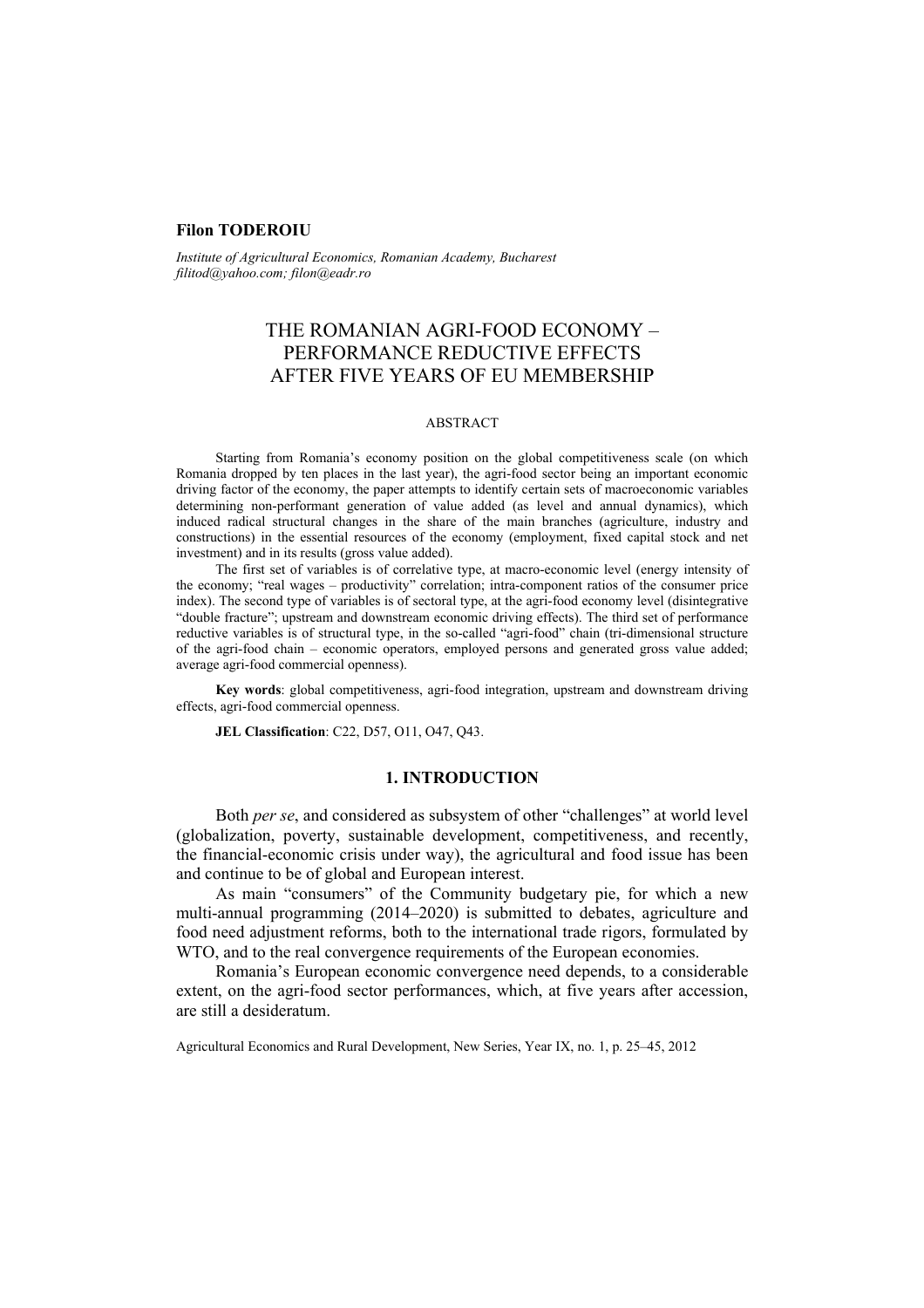## **Filon TODEROIU**

*Institute of Agricultural Economics, Romanian Academy, Bucharest filitod@yahoo.com; filon@eadr.ro*

# THE ROMANIAN AGRI-FOOD ECONOMY – PERFORMANCE REDUCTIVE EFFECTS AFTER FIVE YEARS OF EU MEMBERSHIP

#### ABSTRACT

Starting from Romania's economy position on the global competitiveness scale (on which Romania dropped by ten places in the last year), the agri-food sector being an important economic driving factor of the economy, the paper attempts to identify certain sets of macroeconomic variables determining non-performant generation of value added (as level and annual dynamics), which induced radical structural changes in the share of the main branches (agriculture, industry and constructions) in the essential resources of the economy (employment, fixed capital stock and net investment) and in its results (gross value added).

The first set of variables is of correlative type, at macro-economic level (energy intensity of the economy; "real wages – productivity" correlation; intra-component ratios of the consumer price index). The second type of variables is of sectoral type, at the agri-food economy level (disintegrative "double fracture"; upstream and downstream economic driving effects). The third set of performance reductive variables is of structural type, in the so-called "agri-food" chain (tri-dimensional structure of the agri-food chain – economic operators, employed persons and generated gross value added; average agri-food commercial openness).

**Key words**: global competitiveness, agri-food integration, upstream and downstream driving effects, agri-food commercial openness.

**JEL Classification**: C22, D57, O11, O47, Q43.

## **1. INTRODUCTION**

Both *per se*, and considered as subsystem of other "challenges" at world level (globalization, poverty, sustainable development, competitiveness, and recently, the financial-economic crisis under way), the agricultural and food issue has been and continue to be of global and European interest.

As main "consumers" of the Community budgetary pie, for which a new multi-annual programming (2014–2020) is submitted to debates, agriculture and food need adjustment reforms, both to the international trade rigors, formulated by WTO, and to the real convergence requirements of the European economies.

Romania's European economic convergence need depends, to a considerable extent, on the agri-food sector performances, which, at five years after accession, are still a desideratum.

Agricultural Economics and Rural Development, New Series, Year IX, no. 1, p. 25–45, 2012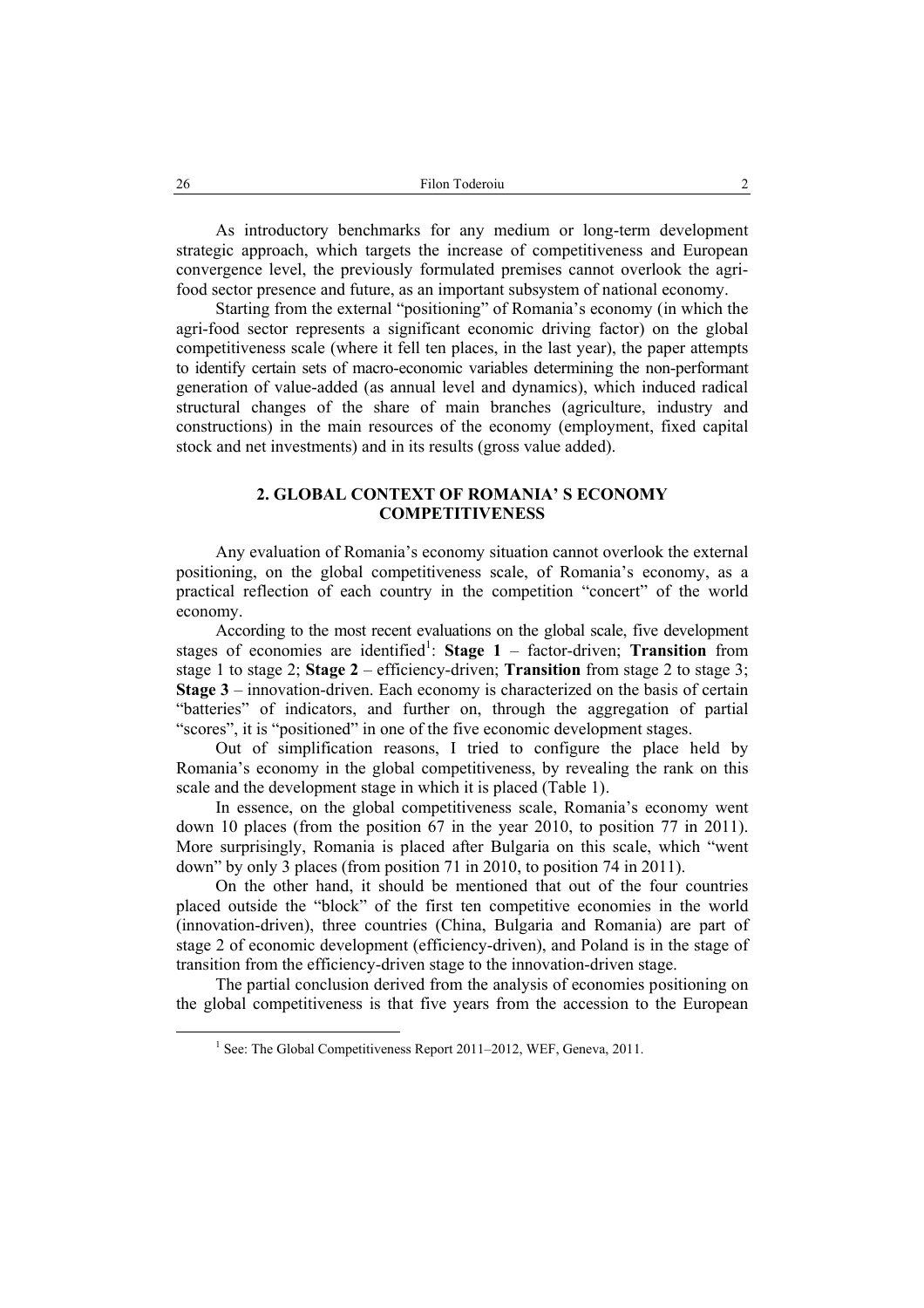As introductory benchmarks for any medium or long-term development strategic approach, which targets the increase of competitiveness and European convergence level, the previously formulated premises cannot overlook the agrifood sector presence and future, as an important subsystem of national economy.

Starting from the external "positioning" of Romania's economy (in which the agri-food sector represents a significant economic driving factor) on the global competitiveness scale (where it fell ten places, in the last year), the paper attempts to identify certain sets of macro-economic variables determining the non-performant generation of value-added (as annual level and dynamics), which induced radical structural changes of the share of main branches (agriculture, industry and constructions) in the main resources of the economy (employment, fixed capital stock and net investments) and in its results (gross value added).

# **2. GLOBAL CONTEXT OF ROMANIA' S ECONOMY COMPETITIVENESS**

Any evaluation of Romania's economy situation cannot overlook the external positioning, on the global competitiveness scale, of Romania's economy, as a practical reflection of each country in the competition "concert" of the world economy.

According to the most recent evaluations on the global scale, five development stages of economies are identified<sup>1</sup>: Stage  $1$  – factor-driven; Transition from stage 1 to stage 2; **Stage 2** – efficiency-driven; **Transition** from stage 2 to stage 3; **Stage 3** – innovation-driven. Each economy is characterized on the basis of certain "batteries" of indicators, and further on, through the aggregation of partial "scores", it is "positioned" in one of the five economic development stages.

Out of simplification reasons, I tried to configure the place held by Romania's economy in the global competitiveness, by revealing the rank on this scale and the development stage in which it is placed (Table 1).

In essence, on the global competitiveness scale, Romania's economy went down 10 places (from the position 67 in the year 2010, to position 77 in 2011). More surprisingly, Romania is placed after Bulgaria on this scale, which "went down" by only 3 places (from position 71 in 2010, to position 74 in 2011).

On the other hand, it should be mentioned that out of the four countries placed outside the "block" of the first ten competitive economies in the world (innovation-driven), three countries (China, Bulgaria and Romania) are part of stage 2 of economic development (efficiency-driven), and Poland is in the stage of transition from the efficiency-driven stage to the innovation-driven stage.

The partial conclusion derived from the analysis of economies positioning on the global competitiveness is that five years from the accession to the European

 $\frac{1}{1}$  $<sup>1</sup>$  See: The Global Competitiveness Report 2011–2012, WEF, Geneva, 2011.</sup>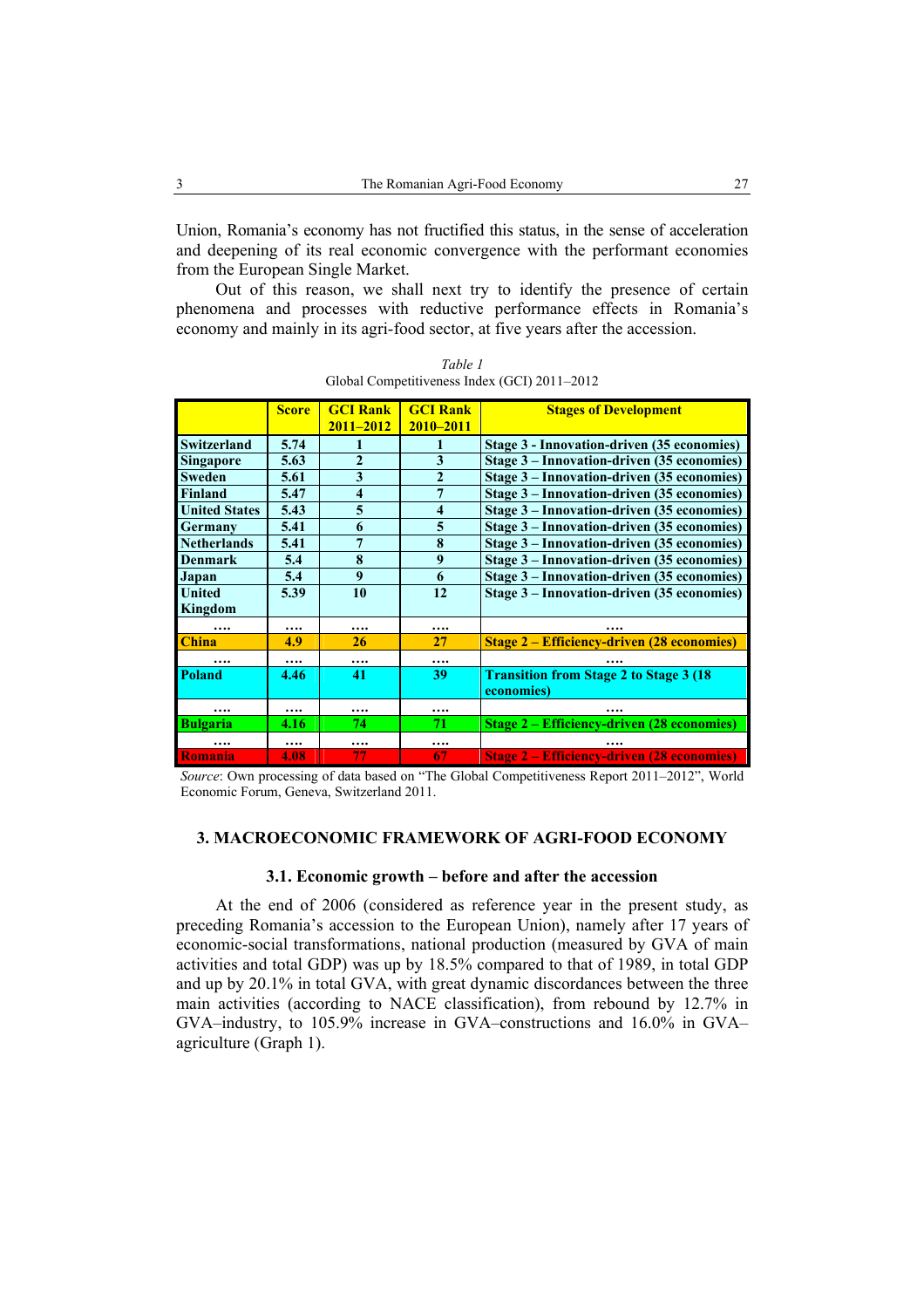Union, Romania's economy has not fructified this status, in the sense of acceleration and deepening of its real economic convergence with the performant economies from the European Single Market.

Out of this reason, we shall next try to identify the presence of certain phenomena and processes with reductive performance effects in Romania's economy and mainly in its agri-food sector, at five years after the accession.

|                      | <b>Score</b> | <b>GCI Rank</b>     | <b>GCI Rank</b>     | <b>Stages of Development</b>                      |
|----------------------|--------------|---------------------|---------------------|---------------------------------------------------|
|                      |              | $2011 - 2012$       | 2010-2011           |                                                   |
| <b>Switzerland</b>   | 5.74         |                     |                     | Stage 3 - Innovation-driven (35 economies)        |
| <b>Singapore</b>     | 5.63         | 2                   | 3                   | Stage 3 – Innovation-driven (35 economies)        |
| <b>Sweden</b>        | 5.61         | 3                   | $\overline{2}$      | Stage 3 - Innovation-driven (35 economies)        |
| <b>Finland</b>       | 5.47         | $\overline{\bf{4}}$ | 7                   | Stage 3 - Innovation-driven (35 economies)        |
| <b>United States</b> | 5.43         | 5                   | $\overline{\bf{4}}$ | Stage 3 - Innovation-driven (35 economies)        |
| Germany              | 5.41         | 6                   | 5                   | Stage 3 - Innovation-driven (35 economies)        |
| <b>Netherlands</b>   | 5.41         | 7                   | 8                   | Stage 3 - Innovation-driven (35 economies)        |
| <b>Denmark</b>       | 5.4          | 8                   | 9                   | Stage 3 – Innovation-driven (35 economies)        |
| Japan                | 5.4          | 9                   | 6                   | Stage 3 – Innovation-driven (35 economies)        |
| <b>United</b>        | 5.39         | 10                  | 12                  | Stage 3 - Innovation-driven (35 economies)        |
| Kingdom              |              |                     |                     |                                                   |
| $\cdots$             | $\cdots$     | $\cdots$            |                     |                                                   |
| <b>China</b>         | 4.9          | 26                  | 27                  | <b>Stage 2 – Efficiency-driven (28 economies)</b> |
| $\cdots$             | $\cdots$     |                     |                     |                                                   |
| <b>Poland</b>        | 4.46         | 41                  | 39                  | <b>Transition from Stage 2 to Stage 3 (18)</b>    |
|                      |              |                     |                     | economies)                                        |
|                      |              | .                   | $\cdots$            |                                                   |
| <b>Bulgaria</b>      | 4.16         | 74                  | 71                  | <b>Stage 2 – Efficiency-driven (28 economies)</b> |
|                      | $\cdots$     | $\cdots$            |                     |                                                   |
| <b>Romania</b>       | 4.08         | 77                  | 67                  | <b>Stage 2 – Efficiency-driven (28 economies)</b> |

*Table 1*  Global Competitiveness Index (GCI) 2011–2012

*Source*: Own processing of data based on "The Global Competitiveness Report 2011–2012", World Economic Forum, Geneva, Switzerland 2011.

## **3. MACROECONOMIC FRAMEWORK OF AGRI-FOOD ECONOMY**

## **3.1. Economic growth – before and after the accession**

At the end of 2006 (considered as reference year in the present study, as preceding Romania's accession to the European Union), namely after 17 years of economic-social transformations, national production (measured by GVA of main activities and total GDP) was up by 18.5% compared to that of 1989, in total GDP and up by 20.1% in total GVA, with great dynamic discordances between the three main activities (according to NACE classification), from rebound by 12.7% in GVA–industry, to 105.9% increase in GVA–constructions and 16.0% in GVA– agriculture (Graph 1).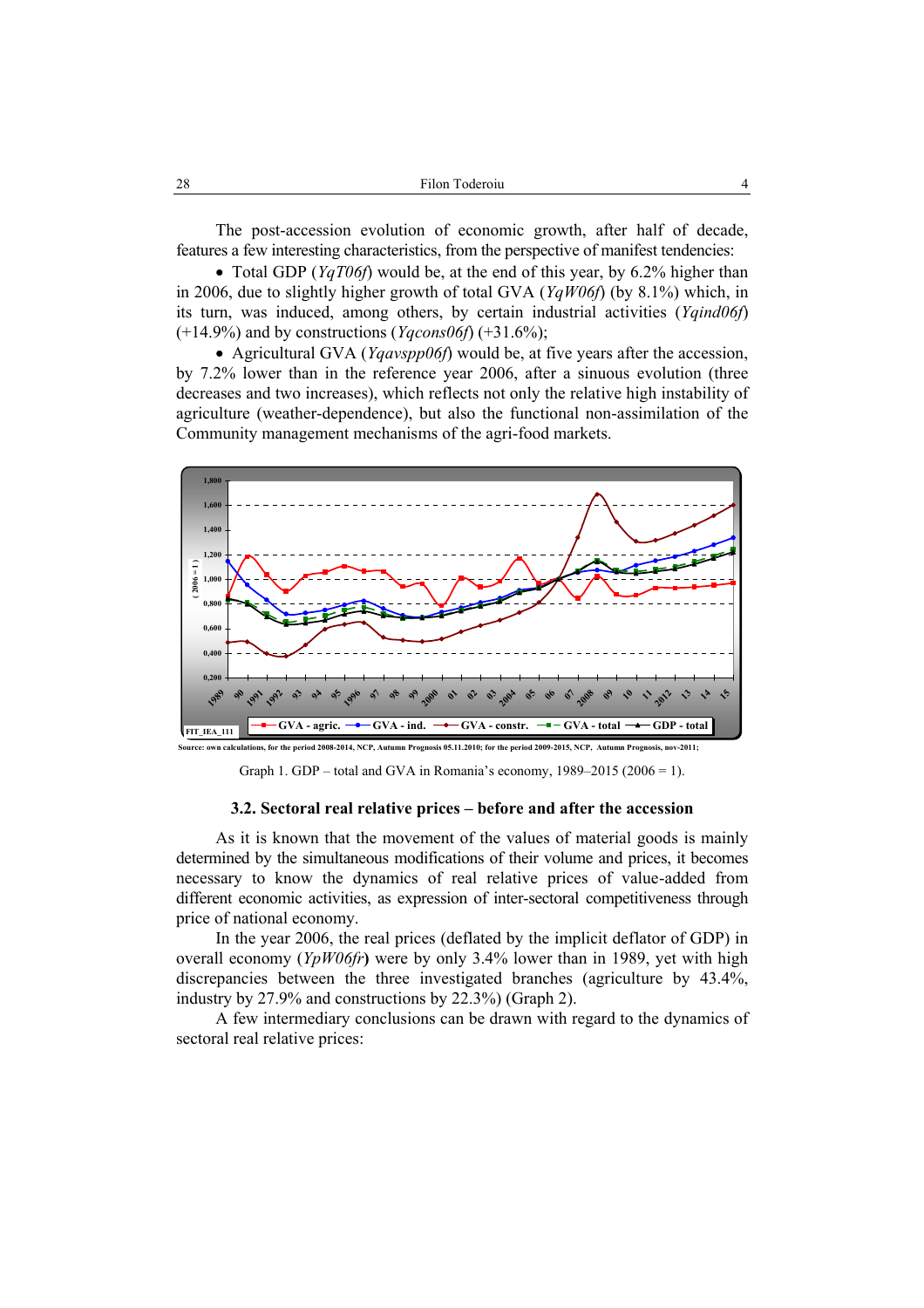The post-accession evolution of economic growth, after half of decade, features a few interesting characteristics, from the perspective of manifest tendencies:

• Total GDP (*YqT06f*) would be, at the end of this year, by 6.2% higher than in 2006, due to slightly higher growth of total GVA (*YqW06f*) (by 8.1%) which, in its turn, was induced, among others, by certain industrial activities (*Yqind06f*) (+14.9%) and by constructions (*Yqcons06f*) (+31.6%);

• Agricultural GVA (*Yqavspp06f*) would be, at five years after the accession, by 7.2% lower than in the reference year 2006, after a sinuous evolution (three decreases and two increases), which reflects not only the relative high instability of agriculture (weather-dependence), but also the functional non-assimilation of the Community management mechanisms of the agri-food markets.



Graph 1. GDP – total and GVA in Romania's economy,  $1989-2015 (2006 = 1)$ .

## **3.2. Sectoral real relative prices – before and after the accession**

As it is known that the movement of the values of material goods is mainly determined by the simultaneous modifications of their volume and prices, it becomes necessary to know the dynamics of real relative prices of value-added from different economic activities, as expression of inter-sectoral competitiveness through price of national economy.

In the year 2006, the real prices (deflated by the implicit deflator of GDP) in overall economy (*YpW06fr***)** were by only 3.4% lower than in 1989, yet with high discrepancies between the three investigated branches (agriculture by 43.4%, industry by 27.9% and constructions by 22.3%) (Graph 2).

A few intermediary conclusions can be drawn with regard to the dynamics of sectoral real relative prices: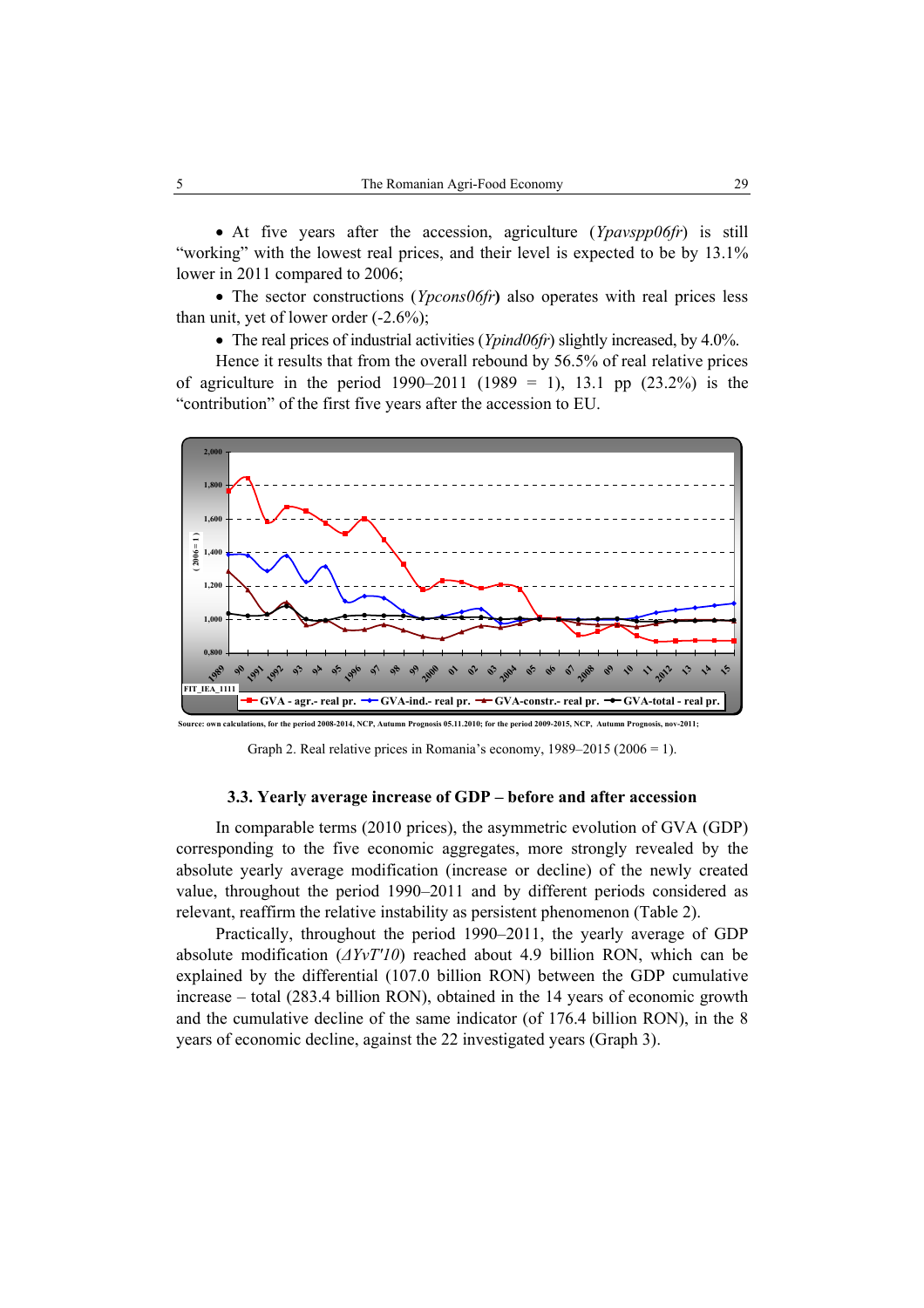• At five years after the accession, agriculture (*Ypavspp06fr*) is still "working" with the lowest real prices, and their level is expected to be by 13.1% lower in 2011 compared to 2006;

• The sector constructions (*Ypcons06fr*) also operates with real prices less than unit, yet of lower order  $(-2.6\%)$ ;

• The real prices of industrial activities (*Ypind06fr*) slightly increased, by 4.0%.

Hence it results that from the overall rebound by 56.5% of real relative prices of agriculture in the period  $1990-2011$  (1989 = 1), 13.1 pp (23.2%) is the "contribution" of the first five years after the accession to EU.



**Source: own calculations, for the period 2008-2014, NCP, Autumn Prognosis 05.11.2010; for the period 2009-2015, NCP, Autu** 

Graph 2. Real relative prices in Romania's economy, 1989–2015 (2006 = 1).

#### **3.3. Yearly average increase of GDP – before and after accession**

In comparable terms (2010 prices), the asymmetric evolution of GVA (GDP) corresponding to the five economic aggregates, more strongly revealed by the absolute yearly average modification (increase or decline) of the newly created value, throughout the period 1990–2011 and by different periods considered as relevant, reaffirm the relative instability as persistent phenomenon (Table 2).

Practically, throughout the period 1990–2011, the yearly average of GDP absolute modification (*∆YvT'10*) reached about 4.9 billion RON, which can be explained by the differential (107.0 billion RON) between the GDP cumulative increase – total (283.4 billion RON), obtained in the 14 years of economic growth and the cumulative decline of the same indicator (of 176.4 billion RON), in the 8 years of economic decline, against the 22 investigated years (Graph 3).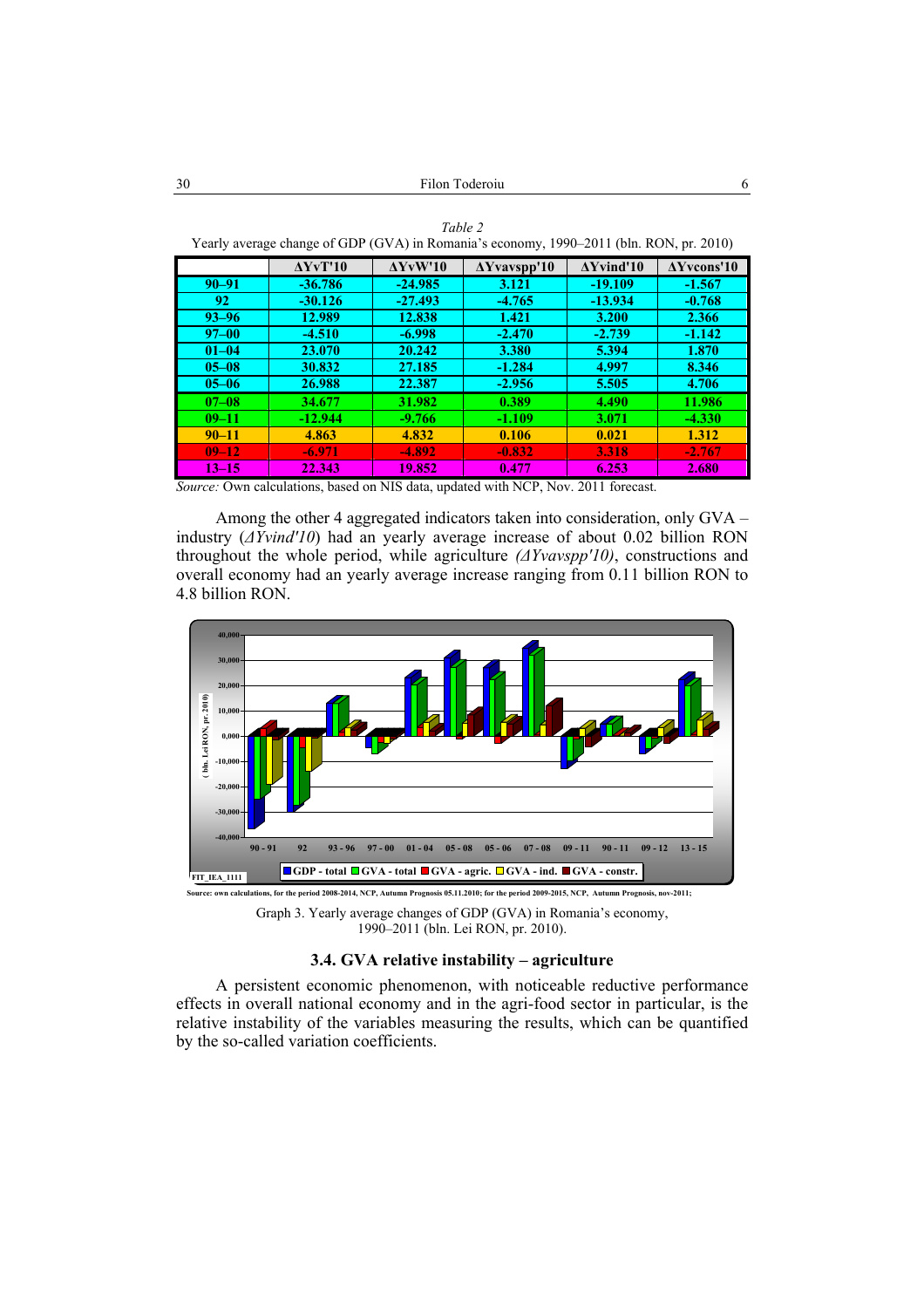*Table 2* 

| Yearly average change of GDP (GVA) in Romania's economy, 1990–2011 (bln. RON, pr. 2010) |                           |                 |                     |                   |                     |  |  |  |
|-----------------------------------------------------------------------------------------|---------------------------|-----------------|---------------------|-------------------|---------------------|--|--|--|
|                                                                                         | $\Delta YV$ <sup>10</sup> | $\Delta$ YvW'10 | $\Delta$ Yvavspp'10 | $\Delta$ Yvind'10 | $\Delta Y$ vcons'10 |  |  |  |
| $90 - 91$                                                                               | $-36.786$                 | $-24.985$       | 3.121               | $-19.109$         | $-1.567$            |  |  |  |
| 92                                                                                      | $-30.126$                 | $-27.493$       | $-4.765$            | $-13.934$         | $-0.768$            |  |  |  |
| $93 - 96$                                                                               | 12.989                    | 12.838          | 1.421               | 3.200             | 2.366               |  |  |  |
| $97 - 00$                                                                               | $-4.510$                  | $-6.998$        | $-2.470$            | $-2.739$          | $-1.142$            |  |  |  |
| $01 - 04$                                                                               | 23.070                    | 20.242          | 3.380               | 5.394             | 1.870               |  |  |  |
| $05 - 08$                                                                               | 30.832                    | 27.185          | $-1.284$            | 4.997             | 8.346               |  |  |  |
| $05 - 06$                                                                               | 26.988                    | 22.387          | $-2.956$            | 5.505             | 4.706               |  |  |  |
| $07 - 08$                                                                               | 34.677                    | 31.982          | 0.389               | 4.490             | 11.986              |  |  |  |
| $09 - 11$                                                                               | $-12.944$                 | $-9.766$        | $-1.109$            | 3.071             | $-4.330$            |  |  |  |
| $90 - 11$                                                                               | 4.863                     | 4.832           | 0.106               | 0.021             | 1.312               |  |  |  |
| $09 - 12$                                                                               | $-6.971$                  | $-4.892$        | $-0.832$            | 3.318             | $-2.767$            |  |  |  |
| $13 - 15$                                                                               | 22.343                    | 19.852          | 0.477               | 6.253             | 2.680               |  |  |  |

*Source:* Own calculations, based on NIS data, updated with NCP, Nov. 2011 forecast.

Among the other 4 aggregated indicators taken into consideration, only GVA – industry (*∆Yvind'10*) had an yearly average increase of about 0.02 billion RON throughout the whole period, while agriculture *(∆Yvavspp'10)*, constructions and overall economy had an yearly average increase ranging from 0.11 billion RON to 4.8 billion RON.



Graph 3. Yearly average changes of GDP (GVA) in Romania's economy, 1990–2011 (bln. Lei RON, pr. 2010).

# **3.4. GVA relative instability – agriculture**

A persistent economic phenomenon, with noticeable reductive performance effects in overall national economy and in the agri-food sector in particular, is the relative instability of the variables measuring the results, which can be quantified by the so-called variation coefficients.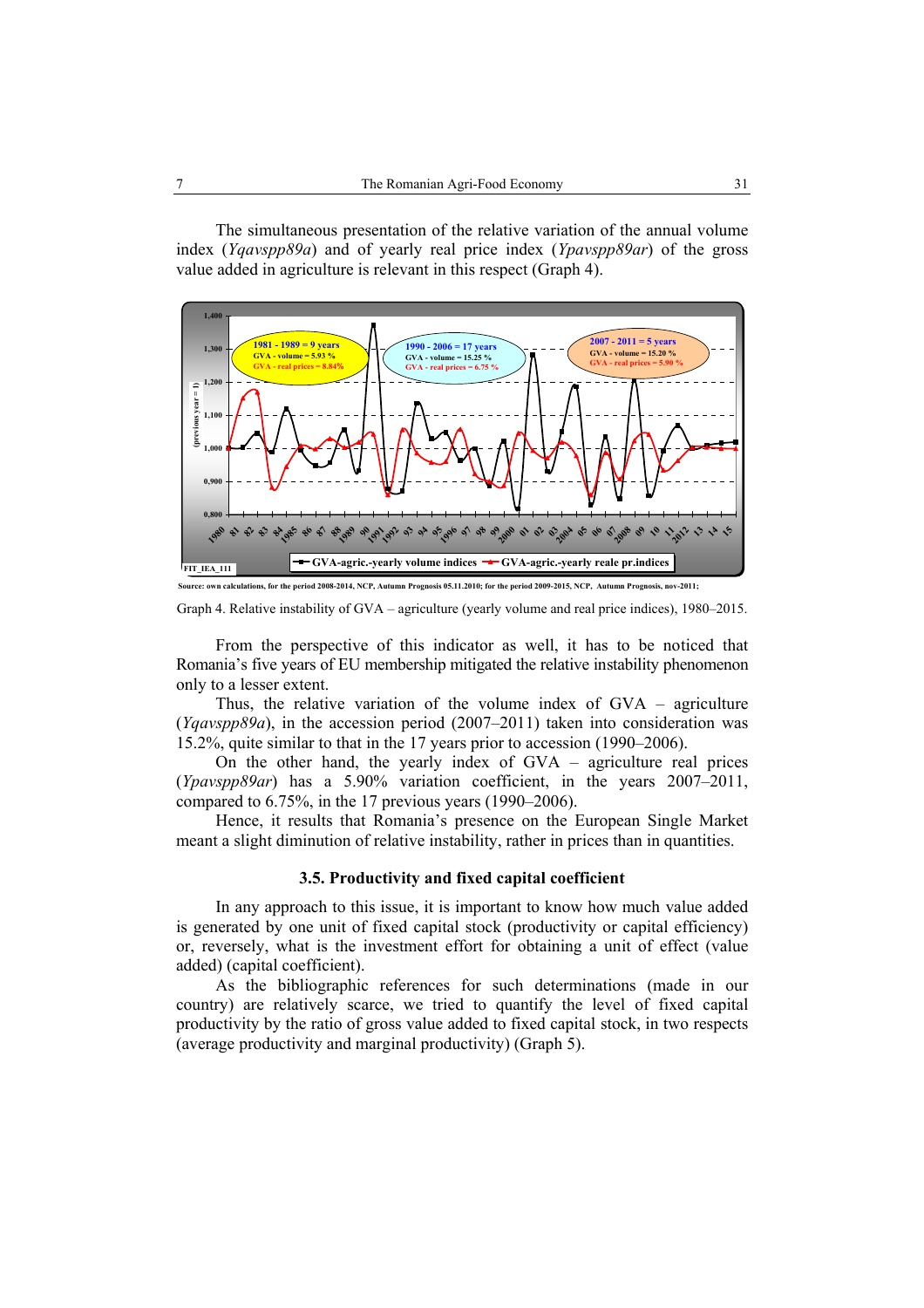The simultaneous presentation of the relative variation of the annual volume index (*Yqavspp89a*) and of yearly real price index (*Ypavspp89ar*) of the gross value added in agriculture is relevant in this respect (Graph 4).



Graph 4. Relative instability of GVA – agriculture (yearly volume and real price indices), 1980–2015.

From the perspective of this indicator as well, it has to be noticed that Romania's five years of EU membership mitigated the relative instability phenomenon only to a lesser extent.

Thus, the relative variation of the volume index of GVA – agriculture (*Yqavspp89a*), in the accession period (2007–2011) taken into consideration was 15.2%, quite similar to that in the 17 years prior to accession (1990–2006).

On the other hand, the yearly index of GVA – agriculture real prices (*Ypavspp89ar*) has a 5.90% variation coefficient, in the years 2007–2011, compared to 6.75%, in the 17 previous years (1990–2006).

Hence, it results that Romania's presence on the European Single Market meant a slight diminution of relative instability, rather in prices than in quantities.

# **3.5. Productivity and fixed capital coefficient**

In any approach to this issue, it is important to know how much value added is generated by one unit of fixed capital stock (productivity or capital efficiency) or, reversely, what is the investment effort for obtaining a unit of effect (value added) (capital coefficient).

As the bibliographic references for such determinations (made in our country) are relatively scarce, we tried to quantify the level of fixed capital productivity by the ratio of gross value added to fixed capital stock, in two respects (average productivity and marginal productivity) (Graph 5).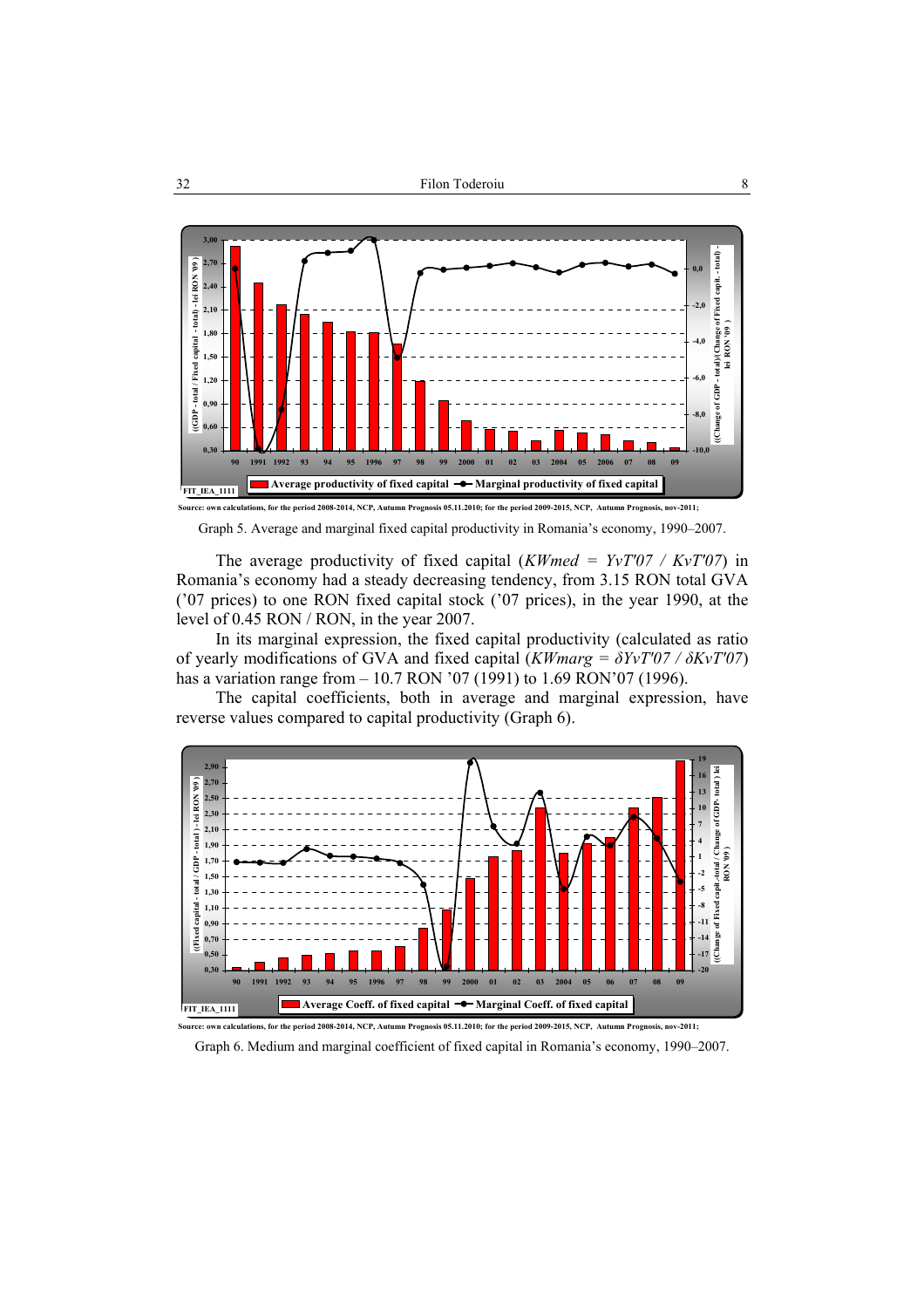

Graph 5. Average and marginal fixed capital productivity in Romania's economy, 1990–2007.

The average productivity of fixed capital (*KWmed = YvT'07 / KvT'07*) in Romania's economy had a steady decreasing tendency, from 3.15 RON total GVA ('07 prices) to one RON fixed capital stock ('07 prices), in the year 1990, at the level of 0.45 RON / RON, in the year 2007.

In its marginal expression, the fixed capital productivity (calculated as ratio of yearly modifications of GVA and fixed capital (*KWmarg = δYvT'07 / δKvT'07*) has a variation range from – 10.7 RON '07 (1991) to 1.69 RON'07 (1996).

The capital coefficients, both in average and marginal expression, have reverse values compared to capital productivity (Graph 6).



Graph 6. Medium and marginal coefficient of fixed capital in Romania's economy, 1990–2007.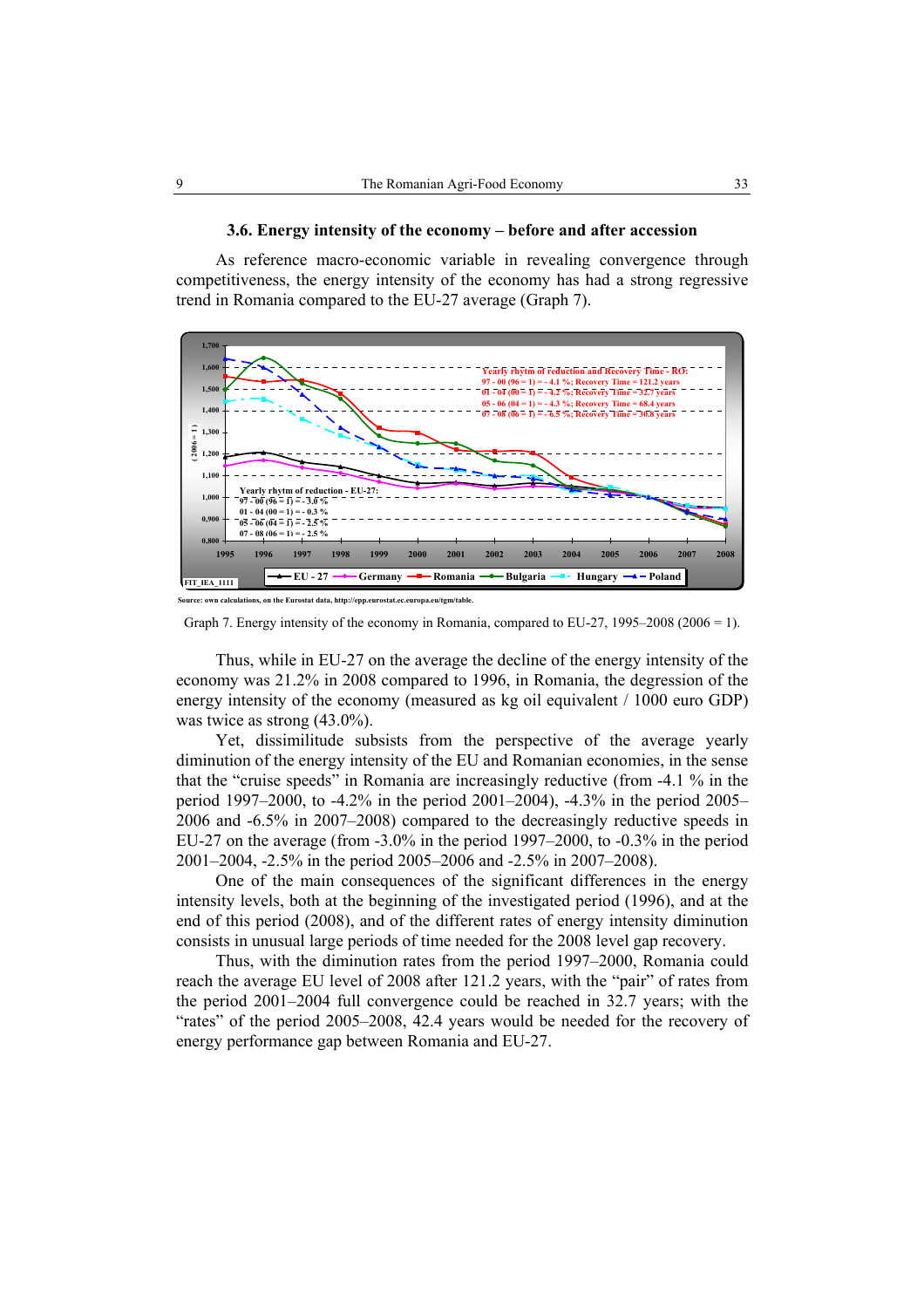#### **3.6. Energy intensity of the economy – before and after accession**

As reference macro-economic variable in revealing convergence through competitiveness, the energy intensity of the economy has had a strong regressive trend in Romania compared to the EU-27 average (Graph 7).



**Source: own calculations, on the Eurostat data, http://epp.eurostat.ec.europa.eu/tgm/table.**

Thus, while in EU-27 on the average the decline of the energy intensity of the economy was 21.2% in 2008 compared to 1996, in Romania, the degression of the energy intensity of the economy (measured as kg oil equivalent / 1000 euro GDP) was twice as strong (43.0%).

Yet, dissimilitude subsists from the perspective of the average yearly diminution of the energy intensity of the EU and Romanian economies, in the sense that the "cruise speeds" in Romania are increasingly reductive (from -4.1 % in the period 1997–2000, to -4.2% in the period 2001–2004), -4.3% in the period 2005– 2006 and -6.5% in 2007–2008) compared to the decreasingly reductive speeds in EU-27 on the average (from -3.0% in the period 1997–2000, to -0.3% in the period 2001–2004, -2.5% in the period 2005–2006 and -2.5% in 2007–2008).

One of the main consequences of the significant differences in the energy intensity levels, both at the beginning of the investigated period (1996), and at the end of this period (2008), and of the different rates of energy intensity diminution consists in unusual large periods of time needed for the 2008 level gap recovery.

Thus, with the diminution rates from the period 1997–2000, Romania could reach the average EU level of 2008 after 121.2 years, with the "pair" of rates from the period 2001–2004 full convergence could be reached in 32.7 years; with the "rates" of the period 2005–2008, 42.4 years would be needed for the recovery of energy performance gap between Romania and EU-27.

Graph 7. Energy intensity of the economy in Romania, compared to  $EU-27$ , 1995–2008 (2006 = 1).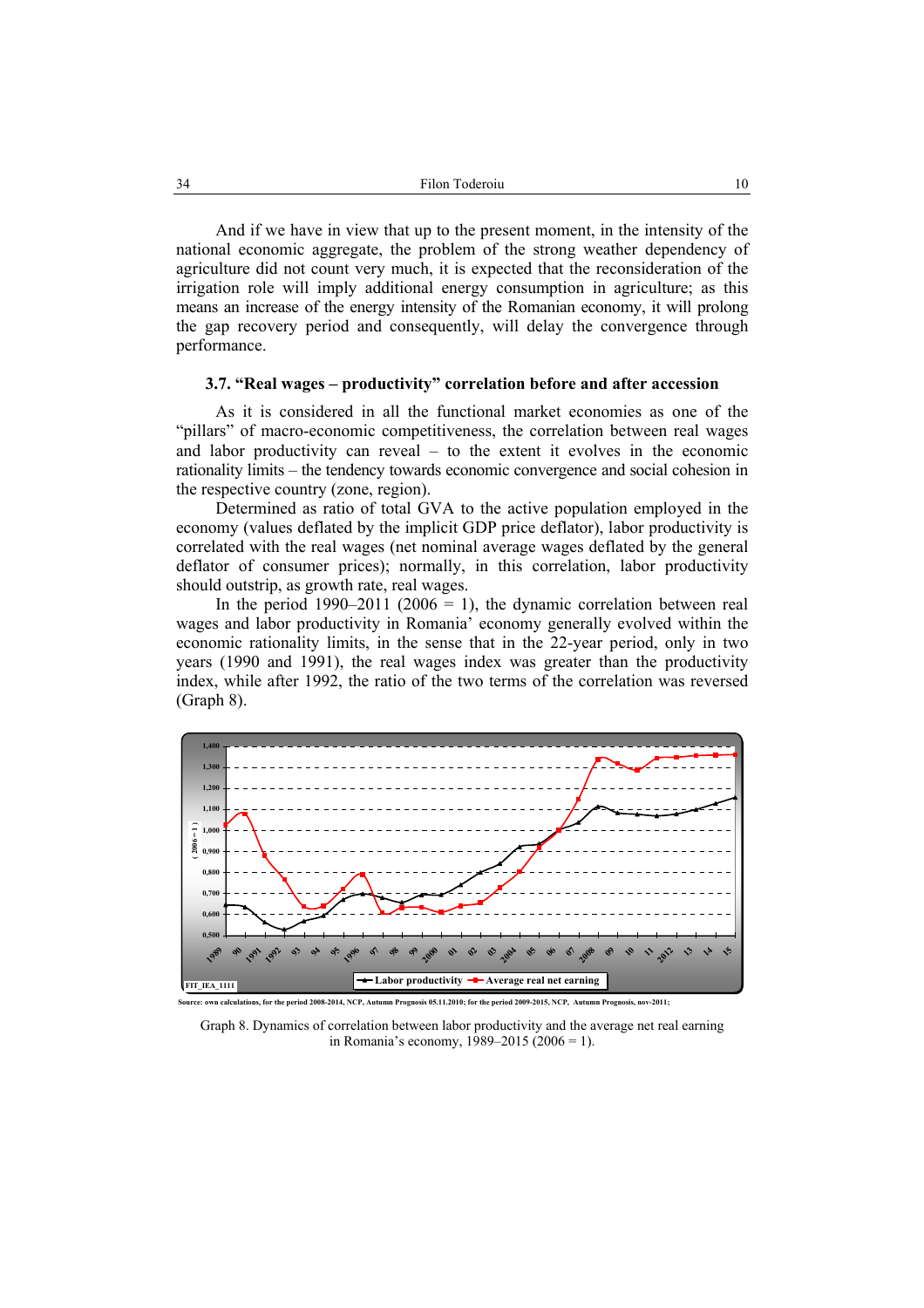And if we have in view that up to the present moment, in the intensity of the national economic aggregate, the problem of the strong weather dependency of agriculture did not count very much, it is expected that the reconsideration of the irrigation role will imply additional energy consumption in agriculture; as this means an increase of the energy intensity of the Romanian economy, it will prolong the gap recovery period and consequently, will delay the convergence through performance.

#### **3.7. "Real wages – productivity" correlation before and after accession**

As it is considered in all the functional market economies as one of the "pillars" of macro-economic competitiveness, the correlation between real wages and labor productivity can reveal – to the extent it evolves in the economic rationality limits – the tendency towards economic convergence and social cohesion in the respective country (zone, region).

Determined as ratio of total GVA to the active population employed in the economy (values deflated by the implicit GDP price deflator), labor productivity is correlated with the real wages (net nominal average wages deflated by the general deflator of consumer prices); normally, in this correlation, labor productivity should outstrip, as growth rate, real wages.

In the period  $1990-2011$  (2006 = 1), the dynamic correlation between real wages and labor productivity in Romania' economy generally evolved within the economic rationality limits, in the sense that in the 22-year period, only in two years (1990 and 1991), the real wages index was greater than the productivity index, while after 1992, the ratio of the two terms of the correlation was reversed (Graph 8).



Graph 8. Dynamics of correlation between labor productivity and the average net real earning in Romania's economy, 1989–2015 (2006 = 1).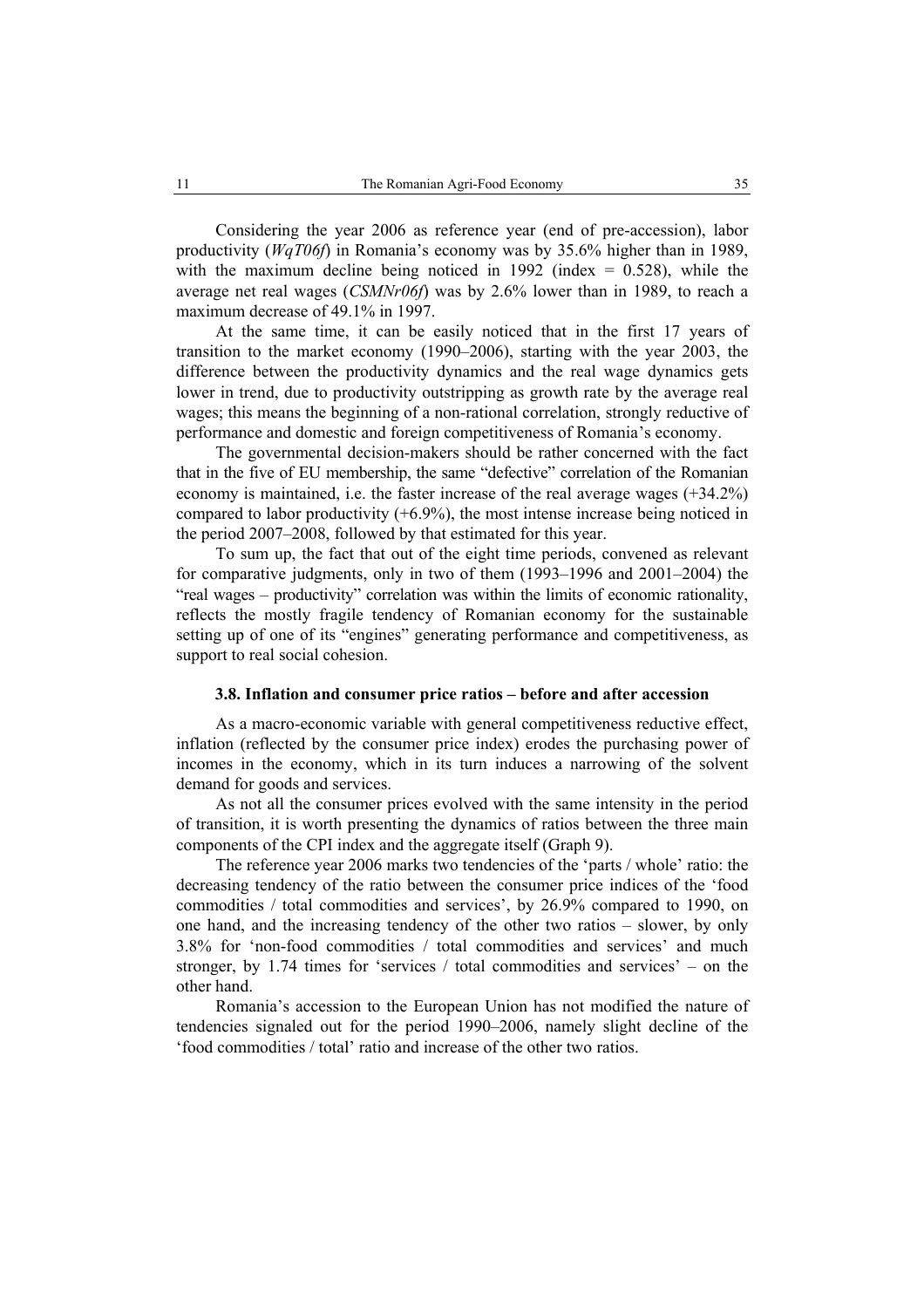Considering the year 2006 as reference year (end of pre-accession), labor productivity (*WqT06f*) in Romania's economy was by 35.6% higher than in 1989, with the maximum decline being noticed in 1992 (index  $= 0.528$ ), while the average net real wages (*CSMNr06f*) was by 2.6% lower than in 1989, to reach a maximum decrease of 49.1% in 1997.

At the same time, it can be easily noticed that in the first 17 years of transition to the market economy (1990–2006), starting with the year 2003, the difference between the productivity dynamics and the real wage dynamics gets lower in trend, due to productivity outstripping as growth rate by the average real wages; this means the beginning of a non-rational correlation, strongly reductive of performance and domestic and foreign competitiveness of Romania's economy.

The governmental decision-makers should be rather concerned with the fact that in the five of EU membership, the same "defective" correlation of the Romanian economy is maintained, i.e. the faster increase of the real average wages (+34.2%) compared to labor productivity  $(+6.9\%)$ , the most intense increase being noticed in the period 2007–2008, followed by that estimated for this year.

To sum up, the fact that out of the eight time periods, convened as relevant for comparative judgments, only in two of them (1993–1996 and 2001–2004) the "real wages – productivity" correlation was within the limits of economic rationality, reflects the mostly fragile tendency of Romanian economy for the sustainable setting up of one of its "engines" generating performance and competitiveness, as support to real social cohesion.

#### **3.8. Inflation and consumer price ratios – before and after accession**

As a macro-economic variable with general competitiveness reductive effect, inflation (reflected by the consumer price index) erodes the purchasing power of incomes in the economy, which in its turn induces a narrowing of the solvent demand for goods and services.

As not all the consumer prices evolved with the same intensity in the period of transition, it is worth presenting the dynamics of ratios between the three main components of the CPI index and the aggregate itself (Graph 9).

The reference year 2006 marks two tendencies of the 'parts / whole' ratio: the decreasing tendency of the ratio between the consumer price indices of the 'food commodities / total commodities and services', by 26.9% compared to 1990, on one hand, and the increasing tendency of the other two ratios – slower, by only 3.8% for 'non-food commodities / total commodities and services' and much stronger, by 1.74 times for 'services / total commodities and services' – on the other hand.

Romania's accession to the European Union has not modified the nature of tendencies signaled out for the period 1990–2006, namely slight decline of the 'food commodities / total' ratio and increase of the other two ratios.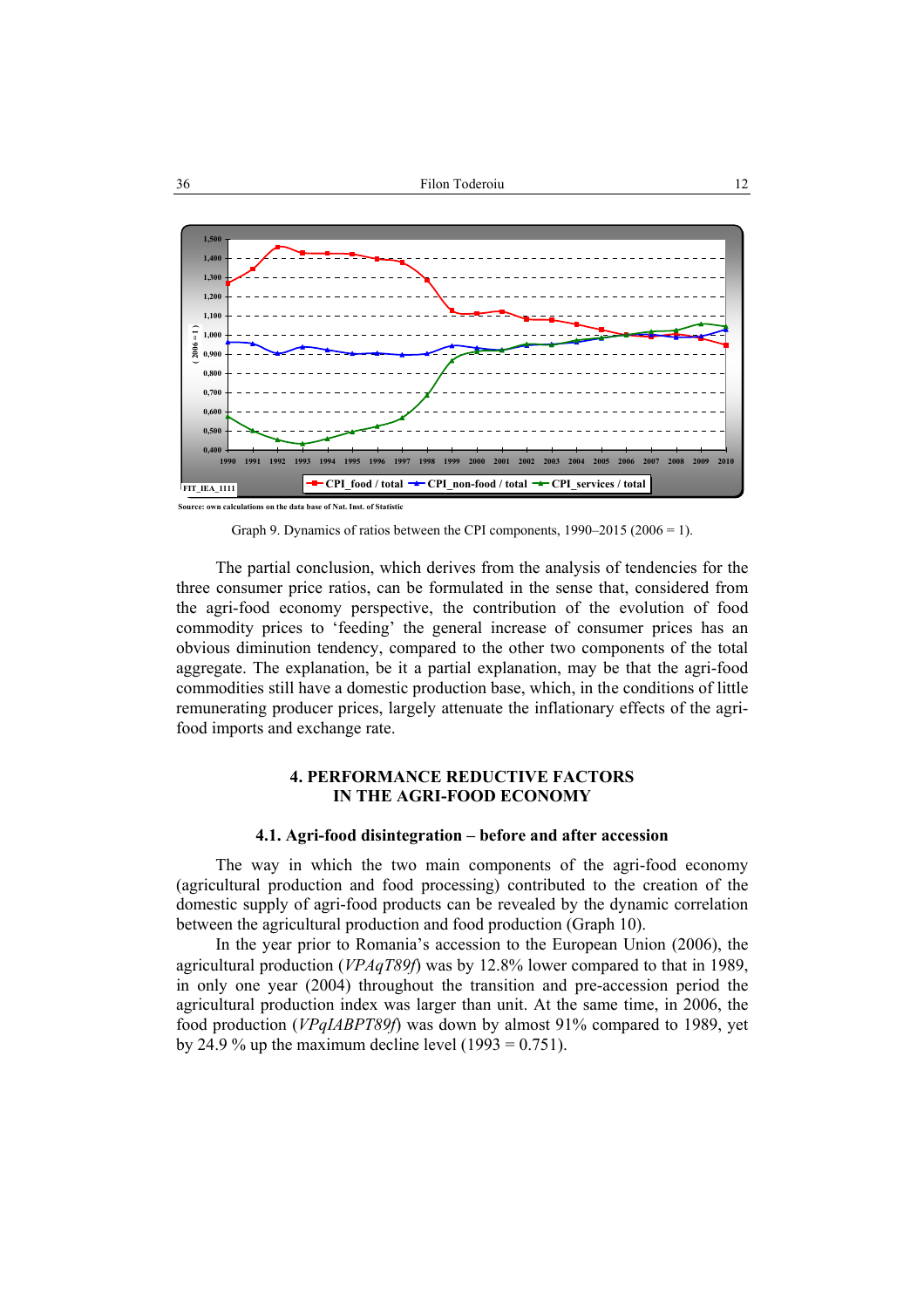

**Source: own calculations on the data base of Nat. Inst. of Statistic**

Graph 9. Dynamics of ratios between the CPI components, 1990–2015 (2006 = 1).

The partial conclusion, which derives from the analysis of tendencies for the three consumer price ratios, can be formulated in the sense that, considered from the agri-food economy perspective, the contribution of the evolution of food commodity prices to 'feeding' the general increase of consumer prices has an obvious diminution tendency, compared to the other two components of the total aggregate. The explanation, be it a partial explanation, may be that the agri-food commodities still have a domestic production base, which, in the conditions of little remunerating producer prices, largely attenuate the inflationary effects of the agrifood imports and exchange rate.

# **4. PERFORMANCE REDUCTIVE FACTORS IN THE AGRI-FOOD ECONOMY**

## **4.1. Agri-food disintegration – before and after accession**

The way in which the two main components of the agri-food economy (agricultural production and food processing) contributed to the creation of the domestic supply of agri-food products can be revealed by the dynamic correlation between the agricultural production and food production (Graph 10).

In the year prior to Romania's accession to the European Union (2006), the agricultural production (*VPAqT89f*) was by 12.8% lower compared to that in 1989, in only one year (2004) throughout the transition and pre-accession period the agricultural production index was larger than unit. At the same time, in 2006, the food production (*VPqIABPT89f*) was down by almost 91% compared to 1989, yet by 24.9 % up the maximum decline level  $(1993 = 0.751)$ .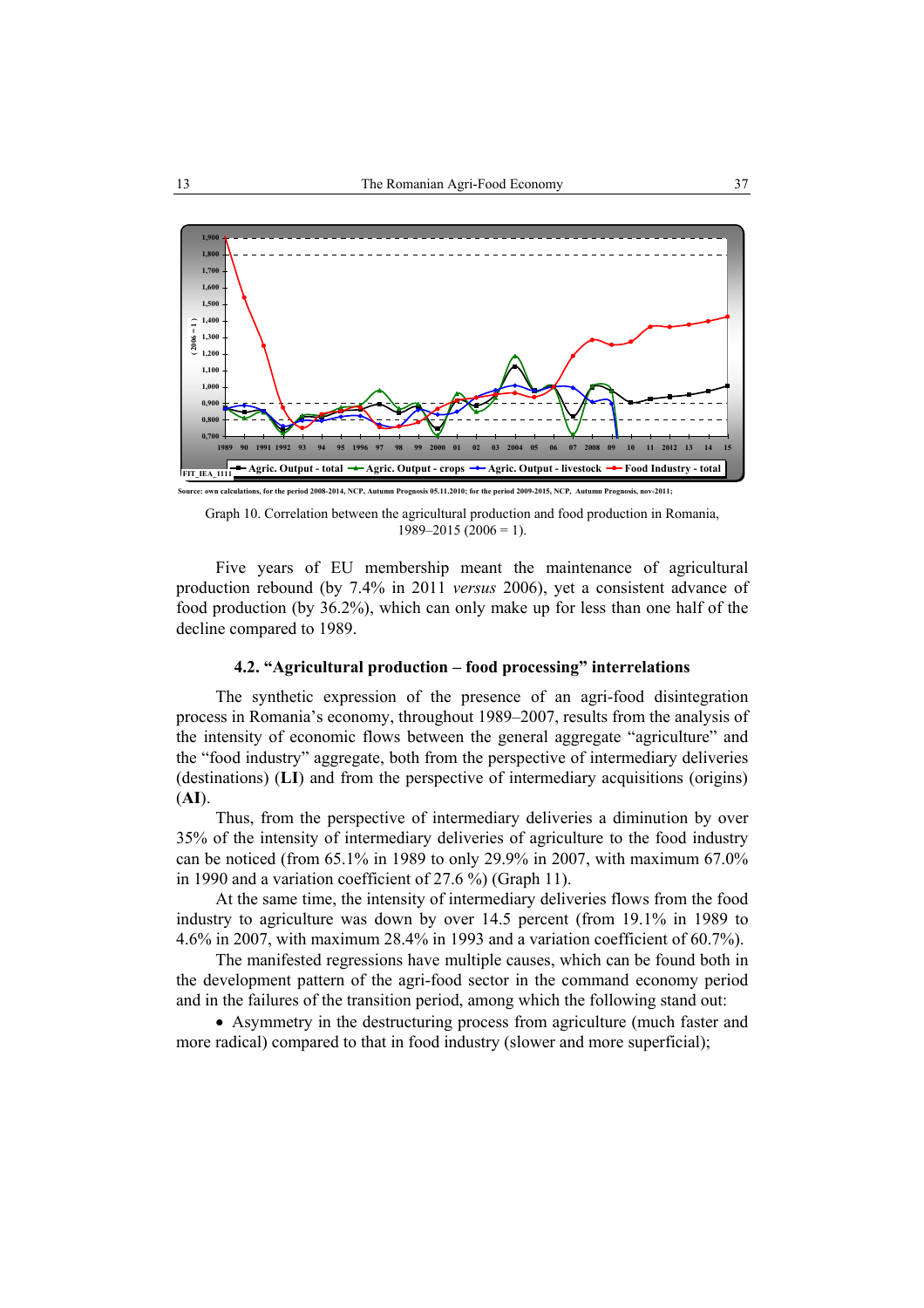

**Source: own calculations, for the period 2008-2014, NCP, Autumn Prognosis 05.11.2010; for the period 2009-2015, NCP, Autumn Prognosis, nov-2011;**

Graph 10. Correlation between the agricultural production and food production in Romania,  $1989 - 2015 (2006 = 1)$ .

Five years of EU membership meant the maintenance of agricultural production rebound (by 7.4% in 2011 *versus* 2006), yet a consistent advance of food production (by 36.2%), which can only make up for less than one half of the decline compared to 1989.

#### **4.2. "Agricultural production – food processing" interrelations**

The synthetic expression of the presence of an agri-food disintegration process in Romania's economy, throughout 1989–2007, results from the analysis of the intensity of economic flows between the general aggregate "agriculture" and the "food industry" aggregate, both from the perspective of intermediary deliveries (destinations) (**LI**) and from the perspective of intermediary acquisitions (origins) (**AI**).

Thus, from the perspective of intermediary deliveries a diminution by over 35% of the intensity of intermediary deliveries of agriculture to the food industry can be noticed (from 65.1% in 1989 to only 29.9% in 2007, with maximum 67.0% in 1990 and a variation coefficient of 27.6 %) (Graph 11).

At the same time, the intensity of intermediary deliveries flows from the food industry to agriculture was down by over 14.5 percent (from 19.1% in 1989 to 4.6% in 2007, with maximum 28.4% in 1993 and a variation coefficient of 60.7%).

The manifested regressions have multiple causes, which can be found both in the development pattern of the agri-food sector in the command economy period and in the failures of the transition period, among which the following stand out:

• Asymmetry in the destructuring process from agriculture (much faster and more radical) compared to that in food industry (slower and more superficial);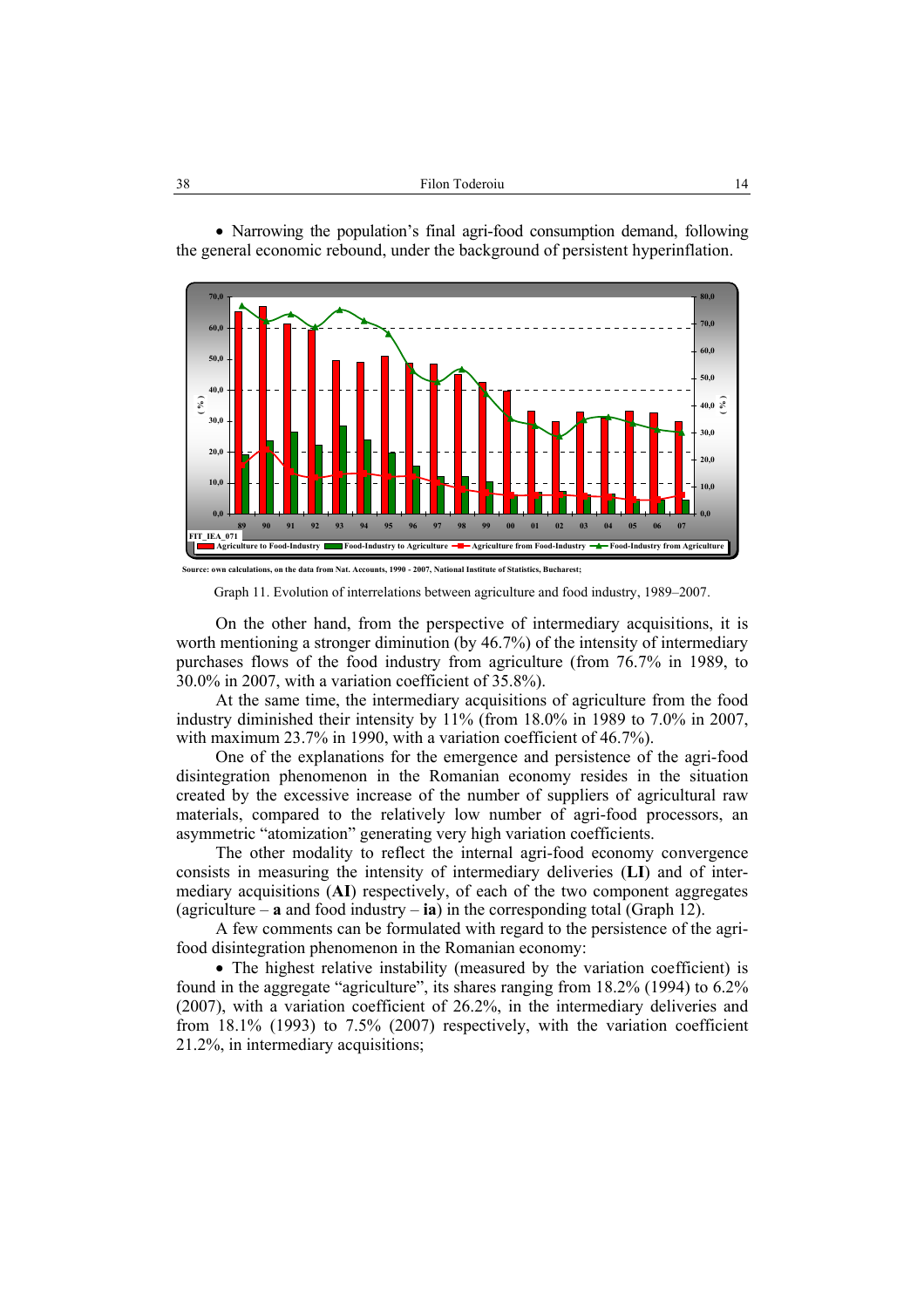• Narrowing the population's final agri-food consumption demand, following the general economic rebound, under the background of persistent hyperinflation.



Graph 11. Evolution of interrelations between agriculture and food industry, 1989–2007.

On the other hand, from the perspective of intermediary acquisitions, it is worth mentioning a stronger diminution (by 46.7%) of the intensity of intermediary purchases flows of the food industry from agriculture (from 76.7% in 1989, to 30.0% in 2007, with a variation coefficient of 35.8%).

At the same time, the intermediary acquisitions of agriculture from the food industry diminished their intensity by 11% (from 18.0% in 1989 to 7.0% in 2007, with maximum 23.7% in 1990, with a variation coefficient of 46.7%).

One of the explanations for the emergence and persistence of the agri-food disintegration phenomenon in the Romanian economy resides in the situation created by the excessive increase of the number of suppliers of agricultural raw materials, compared to the relatively low number of agri-food processors, an asymmetric "atomization" generating very high variation coefficients.

The other modality to reflect the internal agri-food economy convergence consists in measuring the intensity of intermediary deliveries (**LI**) and of intermediary acquisitions (**AI**) respectively, of each of the two component aggregates (agriculture – **a** and food industry – **ia**) in the corresponding total (Graph 12).

A few comments can be formulated with regard to the persistence of the agrifood disintegration phenomenon in the Romanian economy:

• The highest relative instability (measured by the variation coefficient) is found in the aggregate "agriculture", its shares ranging from 18.2% (1994) to 6.2% (2007), with a variation coefficient of 26.2%, in the intermediary deliveries and from 18.1% (1993) to 7.5% (2007) respectively, with the variation coefficient 21.2%, in intermediary acquisitions;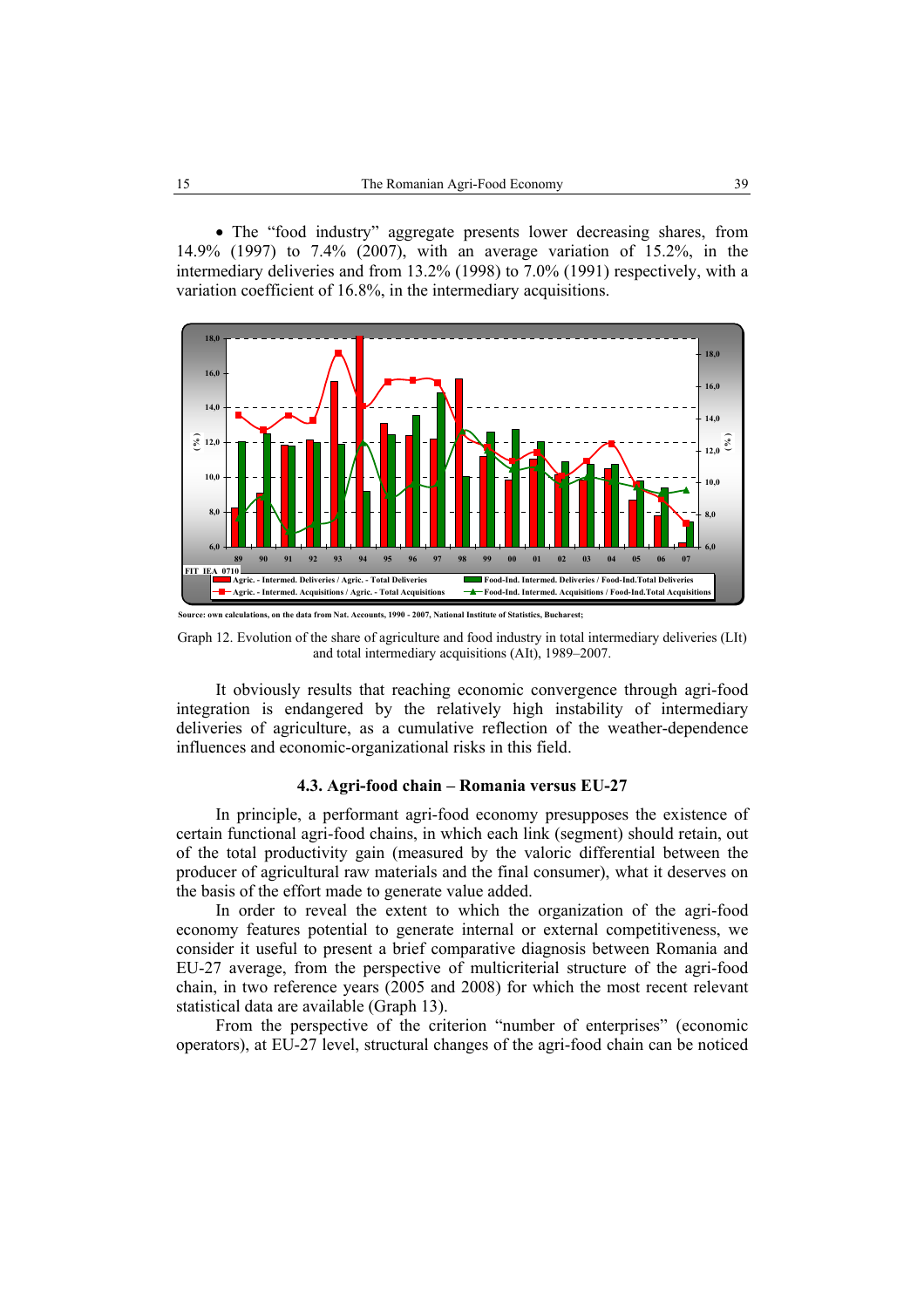• The "food industry" aggregate presents lower decreasing shares, from 14.9% (1997) to 7.4% (2007), with an average variation of 15.2%, in the intermediary deliveries and from 13.2% (1998) to 7.0% (1991) respectively, with a variation coefficient of 16.8%, in the intermediary acquisitions.



Graph 12. Evolution of the share of agriculture and food industry in total intermediary deliveries (LIt) and total intermediary acquisitions (AIt), 1989–2007.

It obviously results that reaching economic convergence through agri-food integration is endangered by the relatively high instability of intermediary deliveries of agriculture, as a cumulative reflection of the weather-dependence influences and economic-organizational risks in this field.

#### **4.3. Agri-food chain – Romania versus EU-27**

In principle, a performant agri-food economy presupposes the existence of certain functional agri-food chains, in which each link (segment) should retain, out of the total productivity gain (measured by the valoric differential between the producer of agricultural raw materials and the final consumer), what it deserves on the basis of the effort made to generate value added.

In order to reveal the extent to which the organization of the agri-food economy features potential to generate internal or external competitiveness, we consider it useful to present a brief comparative diagnosis between Romania and EU-27 average, from the perspective of multicriterial structure of the agri-food chain, in two reference years (2005 and 2008) for which the most recent relevant statistical data are available (Graph 13).

From the perspective of the criterion "number of enterprises" (economic operators), at EU-27 level, structural changes of the agri-food chain can be noticed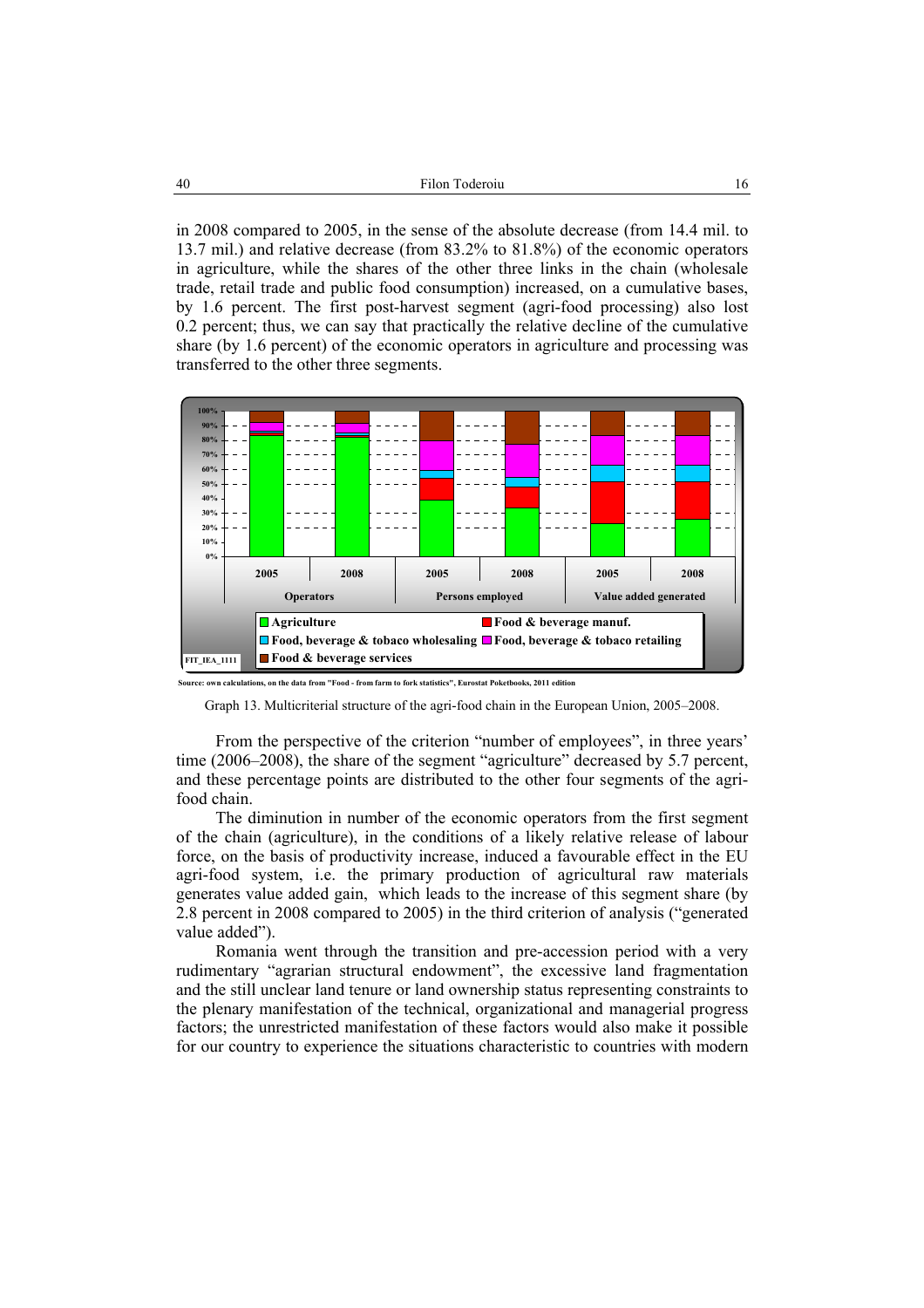in 2008 compared to 2005, in the sense of the absolute decrease (from 14.4 mil. to 13.7 mil.) and relative decrease (from 83.2% to 81.8%) of the economic operators in agriculture, while the shares of the other three links in the chain (wholesale trade, retail trade and public food consumption) increased, on a cumulative bases, by 1.6 percent. The first post-harvest segment (agri-food processing) also lost 0.2 percent; thus, we can say that practically the relative decline of the cumulative share (by 1.6 percent) of the economic operators in agriculture and processing was transferred to the other three segments.



**Source: own calculations, on the data from "Food - from farm to fork statistics", Eurostat Poketbooks, 2011 edition**

From the perspective of the criterion "number of employees", in three years' time (2006–2008), the share of the segment "agriculture" decreased by 5.7 percent, and these percentage points are distributed to the other four segments of the agrifood chain.

The diminution in number of the economic operators from the first segment of the chain (agriculture), in the conditions of a likely relative release of labour force, on the basis of productivity increase, induced a favourable effect in the EU agri-food system, i.e. the primary production of agricultural raw materials generates value added gain, which leads to the increase of this segment share (by 2.8 percent in 2008 compared to 2005) in the third criterion of analysis ("generated value added").

Romania went through the transition and pre-accession period with a very rudimentary "agrarian structural endowment", the excessive land fragmentation and the still unclear land tenure or land ownership status representing constraints to the plenary manifestation of the technical, organizational and managerial progress factors; the unrestricted manifestation of these factors would also make it possible for our country to experience the situations characteristic to countries with modern

Graph 13. Multicriterial structure of the agri-food chain in the European Union, 2005–2008.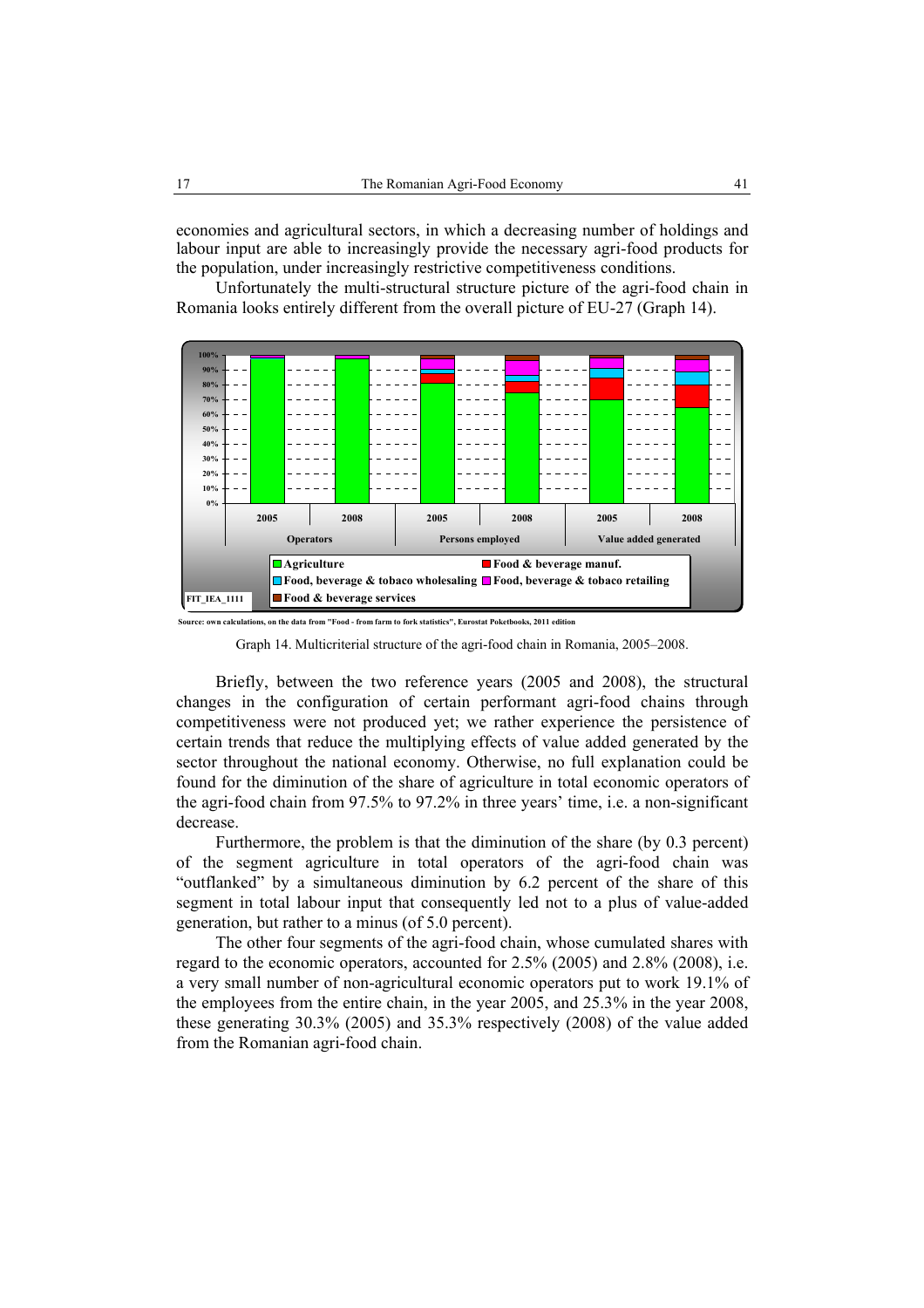economies and agricultural sectors, in which a decreasing number of holdings and labour input are able to increasingly provide the necessary agri-food products for the population, under increasingly restrictive competitiveness conditions.

Unfortunately the multi-structural structure picture of the agri-food chain in Romania looks entirely different from the overall picture of EU-27 (Graph 14).



**Source: own calculations, on the data from "Food - from farm to fork statistics", Eurostat Poketbooks, 2011 edition**

Graph 14. Multicriterial structure of the agri-food chain in Romania, 2005–2008.

Briefly, between the two reference years (2005 and 2008), the structural changes in the configuration of certain performant agri-food chains through competitiveness were not produced yet; we rather experience the persistence of certain trends that reduce the multiplying effects of value added generated by the sector throughout the national economy. Otherwise, no full explanation could be found for the diminution of the share of agriculture in total economic operators of the agri-food chain from 97.5% to 97.2% in three years' time, i.e. a non-significant decrease.

Furthermore, the problem is that the diminution of the share (by 0.3 percent) of the segment agriculture in total operators of the agri-food chain was "outflanked" by a simultaneous diminution by 6.2 percent of the share of this segment in total labour input that consequently led not to a plus of value-added generation, but rather to a minus (of 5.0 percent).

The other four segments of the agri-food chain, whose cumulated shares with regard to the economic operators, accounted for 2.5% (2005) and 2.8% (2008), i.e. a very small number of non-agricultural economic operators put to work 19.1% of the employees from the entire chain, in the year 2005, and 25.3% in the year 2008, these generating 30.3% (2005) and 35.3% respectively (2008) of the value added from the Romanian agri-food chain.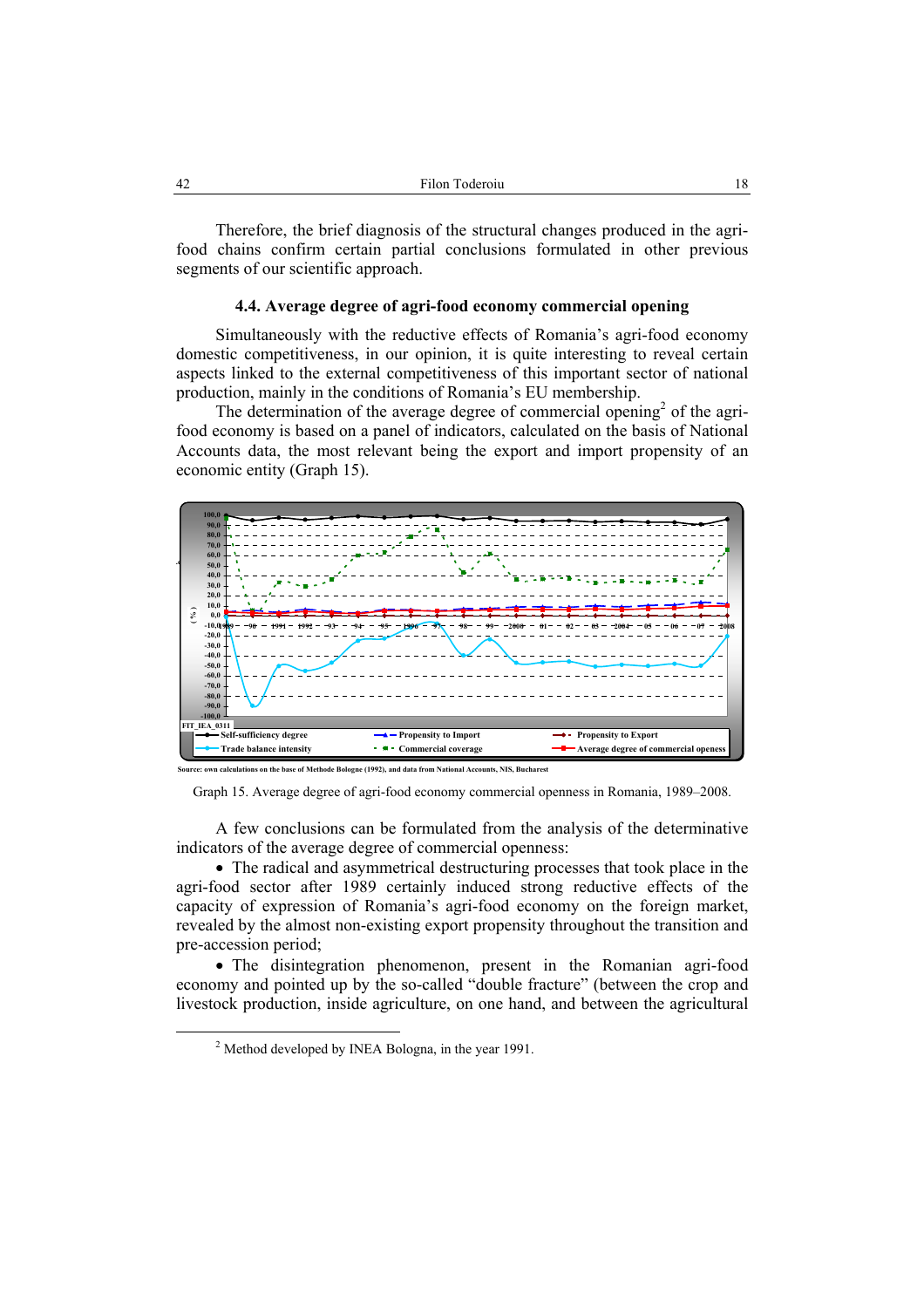Therefore, the brief diagnosis of the structural changes produced in the agrifood chains confirm certain partial conclusions formulated in other previous segments of our scientific approach.

#### **4.4. Average degree of agri-food economy commercial opening**

Simultaneously with the reductive effects of Romania's agri-food economy domestic competitiveness, in our opinion, it is quite interesting to reveal certain aspects linked to the external competitiveness of this important sector of national production, mainly in the conditions of Romania's EU membership.

The determination of the average degree of commercial opening<sup>2</sup> of the agrifood economy is based on a panel of indicators, calculated on the basis of National Accounts data, the most relevant being the export and import propensity of an economic entity (Graph 15).



**Source: own calculations on the base of Methode Bologne (1992), and data from National Accounts, NIS, Bucharest**

Graph 15. Average degree of agri-food economy commercial openness in Romania, 1989–2008.

A few conclusions can be formulated from the analysis of the determinative indicators of the average degree of commercial openness:

• The radical and asymmetrical destructuring processes that took place in the agri-food sector after 1989 certainly induced strong reductive effects of the capacity of expression of Romania's agri-food economy on the foreign market, revealed by the almost non-existing export propensity throughout the transition and pre-accession period;

• The disintegration phenomenon, present in the Romanian agri-food economy and pointed up by the so-called "double fracture" (between the crop and livestock production, inside agriculture, on one hand, and between the agricultural

 <sup>2</sup>  $<sup>2</sup>$  Method developed by INEA Bologna, in the year 1991.</sup>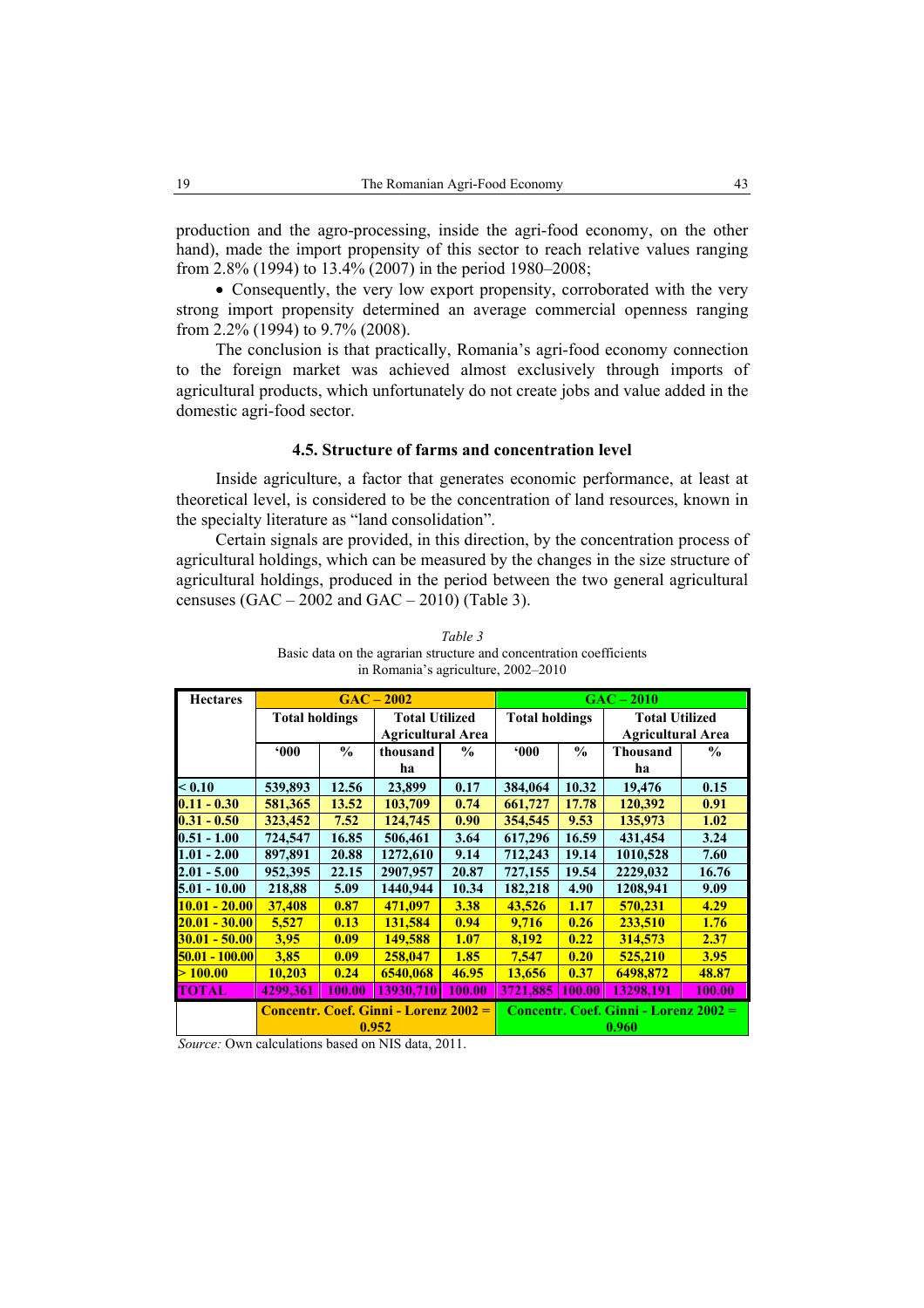production and the agro-processing, inside the agri-food economy, on the other hand), made the import propensity of this sector to reach relative values ranging from 2.8% (1994) to 13.4% (2007) in the period 1980–2008;

• Consequently, the very low export propensity, corroborated with the very strong import propensity determined an average commercial openness ranging from 2.2% (1994) to 9.7% (2008).

The conclusion is that practically, Romania's agri-food economy connection to the foreign market was achieved almost exclusively through imports of agricultural products, which unfortunately do not create jobs and value added in the domestic agri-food sector.

# **4.5. Structure of farms and concentration level**

Inside agriculture, a factor that generates economic performance, at least at theoretical level, is considered to be the concentration of land resources, known in the specialty literature as "land consolidation".

Certain signals are provided, in this direction, by the concentration process of agricultural holdings, which can be measured by the changes in the size structure of agricultural holdings, produced in the period between the two general agricultural censuses  $(GAC - 2002$  and  $GAC - 2010)$  (Table 3).

| <b>Hectares</b>    | $GAC - 2002$                          |               |                                                   |               | $GAC - 2010$                          |               |                          |               |
|--------------------|---------------------------------------|---------------|---------------------------------------------------|---------------|---------------------------------------|---------------|--------------------------|---------------|
|                    | <b>Total holdings</b>                 |               | <b>Total Utilized</b><br><b>Agricultural Area</b> |               | <b>Total holdings</b>                 |               | <b>Total Utilized</b>    |               |
|                    |                                       |               |                                                   |               |                                       |               | <b>Agricultural Area</b> |               |
|                    | $000*$                                | $\frac{0}{0}$ | thousand                                          | $\frac{0}{0}$ | 000                                   | $\frac{0}{0}$ | <b>Thousand</b>          | $\frac{0}{0}$ |
|                    |                                       |               | ha                                                |               |                                       |               | ha                       |               |
| < 0.10             | 539,893                               | 12.56         | 23,899                                            | 0.17          | 384,064                               | 10.32         | 19,476                   | 0.15          |
| $0.11 - 0.30$      | 581,365                               | 13.52         | 103,709                                           | 0.74          | 661,727                               | 17.78         | 120,392                  | 0.91          |
| $0.31 - 0.50$      | 323,452                               | 7.52          | 124,745                                           | 0.90          | 354,545                               | 9.53          | 135,973                  | 1.02          |
| $0.51 - 1.00$      | 724,547                               | 16.85         | 506,461                                           | 3.64          | 617,296                               | 16.59         | 431,454                  | 3.24          |
| $1.01 - 2.00$      | 897,891                               | 20.88         | 1272,610                                          | 9.14          | 712,243                               | 19.14         | 1010,528                 | 7.60          |
| $2.01 - 5.00$      | 952,395                               | 22.15         | 2907.957                                          | 20.87         | 727,155                               | 19.54         | 2229,032                 | 16.76         |
| $5.01 - 10.00$     | 218,88                                | 5.09          | 1440,944                                          | 10.34         | 182,218                               | 4.90          | 1208,941                 | 9.09          |
| $10.01 - 20.00$    | 37,408                                | 0.87          | 471,097                                           | 3.38          | 43,526                                | 1.17          | 570,231                  | 4.29          |
| $20.01 - 30.00$    | 5,527                                 | 0.13          | 131,584                                           | 0.94          | 9,716                                 | 0.26          | 233,510                  | 1.76          |
| $30.01 - 50.00$    | 3,95                                  | 0.09          | 149,588                                           | 1.07          | 8,192                                 | 0.22          | 314,573                  | 2.37          |
| $ 50.01 - 100.00 $ | 3,85                                  | 0.09          | 258,047                                           | 1.85          | 7.547                                 | 0.20          | 525,210                  | 3.95          |
| >100.00            | 10,203                                | 0.24          | 6540,068                                          | 46.95         | 13,656                                | 0.37          | 6498,872                 | 48.87         |
| <b>TOTAL</b>       | 4299,361                              | <b>100.00</b> | 13930,710                                         | 100.00        | 3721,885                              | 100.00        | 13298,191                | <b>100.00</b> |
|                    | Concentr. Coef. Ginni - Lorenz 2002 = |               |                                                   |               | Concentr. Coef. Ginni - Lorenz 2002 = |               |                          |               |
|                    | 0.952                                 |               |                                                   |               | 0.960                                 |               |                          |               |

*Table 3*  Basic data on the agrarian structure and concentration coefficients in Romania's agriculture, 2002–2010

*Source:* Own calculations based on NIS data, 2011.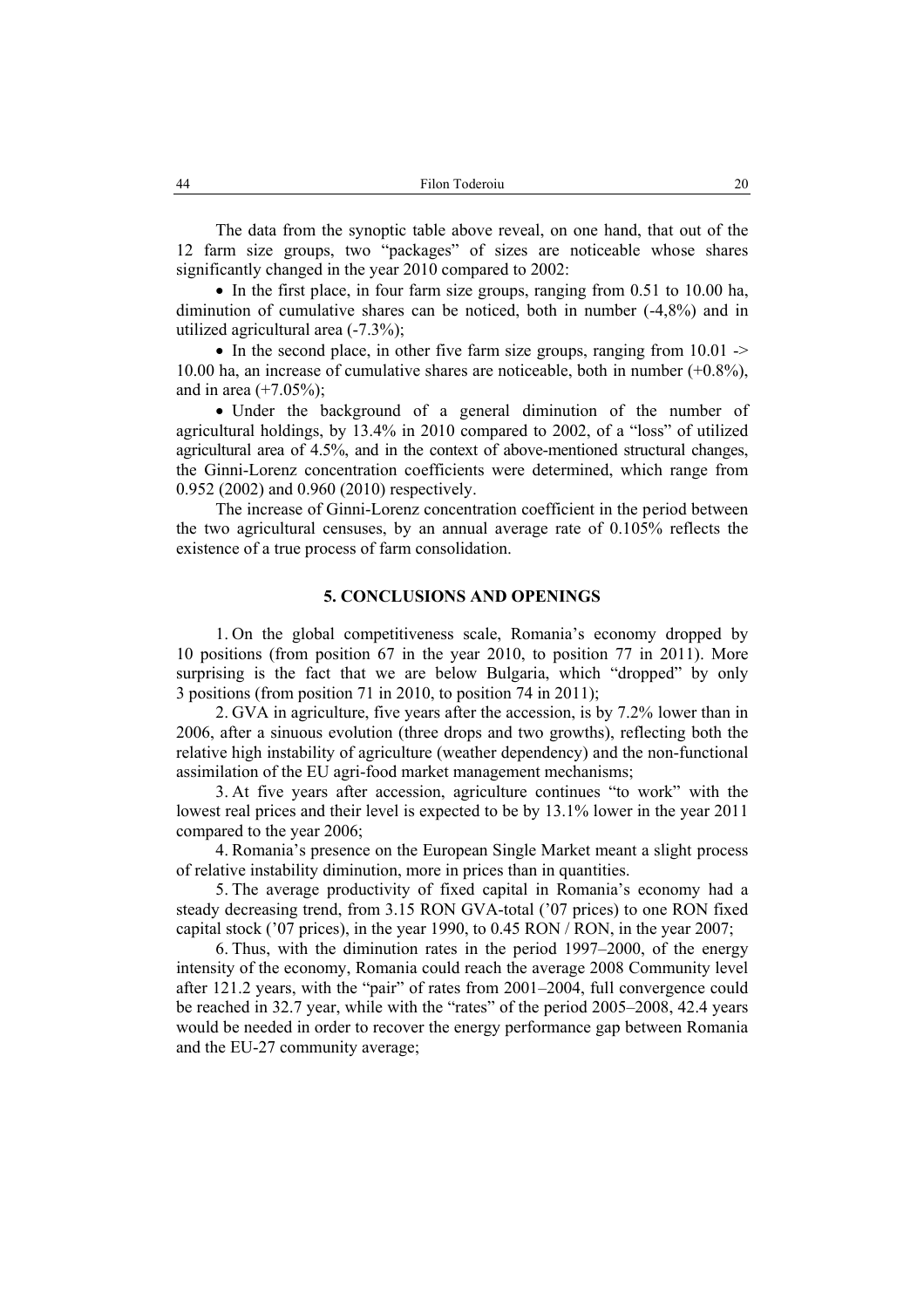The data from the synoptic table above reveal, on one hand, that out of the 12 farm size groups, two "packages" of sizes are noticeable whose shares significantly changed in the year 2010 compared to 2002:

• In the first place, in four farm size groups, ranging from 0.51 to 10.00 ha, diminution of cumulative shares can be noticed, both in number (-4,8%) and in utilized agricultural area (-7.3%);

• In the second place, in other five farm size groups, ranging from 10.01 -> 10.00 ha, an increase of cumulative shares are noticeable, both in number (+0.8%), and in area  $(+7.05\%)$ ;

• Under the background of a general diminution of the number of agricultural holdings, by 13.4% in 2010 compared to 2002, of a "loss" of utilized agricultural area of 4.5%, and in the context of above-mentioned structural changes, the Ginni-Lorenz concentration coefficients were determined, which range from 0.952 (2002) and 0.960 (2010) respectively.

The increase of Ginni-Lorenz concentration coefficient in the period between the two agricultural censuses, by an annual average rate of 0.105% reflects the existence of a true process of farm consolidation.

#### **5. CONCLUSIONS AND OPENINGS**

1. On the global competitiveness scale, Romania's economy dropped by 10 positions (from position 67 in the year 2010, to position 77 in 2011). More surprising is the fact that we are below Bulgaria, which "dropped" by only 3 positions (from position 71 in 2010, to position 74 in 2011);

2. GVA in agriculture, five years after the accession, is by 7.2% lower than in 2006, after a sinuous evolution (three drops and two growths), reflecting both the relative high instability of agriculture (weather dependency) and the non-functional assimilation of the EU agri-food market management mechanisms;

3. At five years after accession, agriculture continues "to work" with the lowest real prices and their level is expected to be by 13.1% lower in the year 2011 compared to the year 2006;

4. Romania's presence on the European Single Market meant a slight process of relative instability diminution, more in prices than in quantities.

5. The average productivity of fixed capital in Romania's economy had a steady decreasing trend, from 3.15 RON GVA-total ('07 prices) to one RON fixed capital stock ('07 prices), in the year 1990, to 0.45 RON / RON, in the year 2007;

6. Thus, with the diminution rates in the period 1997–2000, of the energy intensity of the economy, Romania could reach the average 2008 Community level after 121.2 years, with the "pair" of rates from 2001–2004, full convergence could be reached in 32.7 year, while with the "rates" of the period 2005–2008, 42.4 years would be needed in order to recover the energy performance gap between Romania and the EU-27 community average;